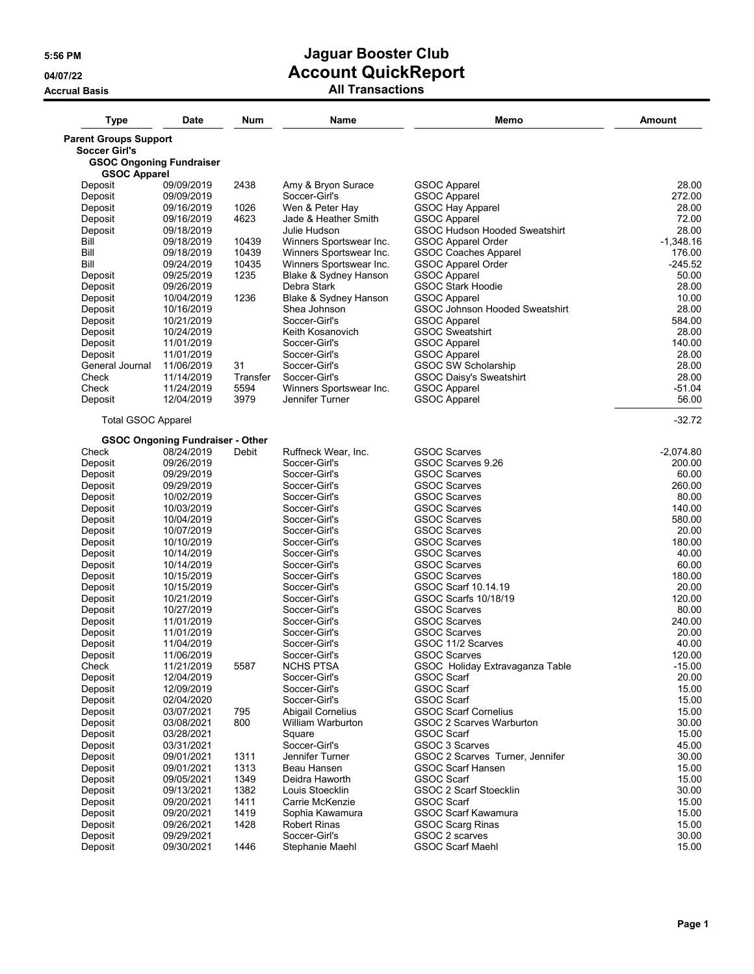| <b>Type</b>                                            | <b>Date</b>                             | Num          | Name                                     | Memo                                                        | Amount            |
|--------------------------------------------------------|-----------------------------------------|--------------|------------------------------------------|-------------------------------------------------------------|-------------------|
| <b>Parent Groups Support</b>                           |                                         |              |                                          |                                                             |                   |
| <b>Soccer Girl's</b>                                   |                                         |              |                                          |                                                             |                   |
| <b>GSOC Ongoning Fundraiser</b><br><b>GSOC Apparel</b> |                                         |              |                                          |                                                             |                   |
| Deposit                                                | 09/09/2019                              | 2438         | Amy & Bryon Surace                       | <b>GSOC Apparel</b>                                         | 28.00             |
| Deposit                                                | 09/09/2019                              |              | Soccer-Girl's                            | <b>GSOC Apparel</b>                                         | 272.00            |
| Deposit                                                | 09/16/2019                              | 1026         | Wen & Peter Hay                          | <b>GSOC Hay Apparel</b>                                     | 28.00             |
| Deposit                                                | 09/16/2019                              | 4623         | Jade & Heather Smith<br>Julie Hudson     | <b>GSOC Apparel</b><br><b>GSOC Hudson Hooded Sweatshirt</b> | 72.00<br>28.00    |
| Deposit<br>Bill                                        | 09/18/2019<br>09/18/2019                | 10439        | Winners Sportswear Inc.                  | GSOC Apparel Order                                          | $-1,348.16$       |
| Bill                                                   | 09/18/2019                              | 10439        | Winners Sportswear Inc.                  | <b>GSOC Coaches Apparel</b>                                 | 176.00            |
| Bill                                                   | 09/24/2019                              | 10435        | Winners Sportswear Inc.                  | GSOC Apparel Order                                          | -245.52           |
| Deposit                                                | 09/25/2019                              | 1235         | Blake & Sydney Hanson                    | <b>GSOC Apparel</b>                                         | 50.00             |
| Deposit                                                | 09/26/2019                              |              | Debra Stark                              | <b>GSOC Stark Hoodie</b>                                    | 28.00             |
| Deposit                                                | 10/04/2019                              | 1236         | Blake & Sydney Hanson                    | <b>GSOC Apparel</b>                                         | 10.00             |
| Deposit                                                | 10/16/2019                              |              | Shea Johnson                             | GSOC Johnson Hooded Sweatshirt                              | 28.00             |
| Deposit                                                | 10/21/2019                              |              | Soccer-Girl's                            | <b>GSOC Apparel</b>                                         | 584.00            |
| Deposit                                                | 10/24/2019                              |              | Keith Kosanovich                         | <b>GSOC Sweatshirt</b>                                      | 28.00             |
| Deposit                                                | 11/01/2019                              |              | Soccer-Girl's                            | <b>GSOC Apparel</b>                                         | 140.00            |
| Deposit                                                | 11/01/2019                              |              | Soccer-Girl's                            | <b>GSOC Apparel</b>                                         | 28.00             |
| General Journal                                        | 11/06/2019                              | 31           | Soccer-Girl's                            | <b>GSOC SW Scholarship</b>                                  | 28.00             |
| Check                                                  | 11/14/2019<br>11/24/2019                | Transfer     | Soccer-Girl's<br>Winners Sportswear Inc. | <b>GSOC Daisy's Sweatshirt</b>                              | 28.00             |
| Check<br>Deposit                                       | 12/04/2019                              | 5594<br>3979 | Jennifer Turner                          | <b>GSOC Apparel</b><br><b>GSOC Apparel</b>                  | $-51.04$<br>56.00 |
| <b>Total GSOC Apparel</b>                              |                                         |              |                                          |                                                             | $-32.72$          |
|                                                        | <b>GSOC Ongoning Fundraiser - Other</b> |              |                                          |                                                             |                   |
| Check                                                  | 08/24/2019                              | Debit        | Ruffneck Wear, Inc.                      | <b>GSOC Scarves</b>                                         | $-2,074.80$       |
| Deposit                                                | 09/26/2019                              |              | Soccer-Girl's                            | GSOC Scarves 9.26                                           | 200.00            |
| Deposit                                                | 09/29/2019<br>09/29/2019                |              | Soccer-Girl's<br>Soccer-Girl's           | <b>GSOC Scarves</b><br><b>GSOC Scarves</b>                  | 60.00<br>260.00   |
| Deposit<br>Deposit                                     | 10/02/2019                              |              | Soccer-Girl's                            | <b>GSOC Scarves</b>                                         | 80.00             |
| Deposit                                                | 10/03/2019                              |              | Soccer-Girl's                            | <b>GSOC Scarves</b>                                         | 140.00            |
| Deposit                                                | 10/04/2019                              |              | Soccer-Girl's                            | <b>GSOC Scarves</b>                                         | 580.00            |
| Deposit                                                | 10/07/2019                              |              | Soccer-Girl's                            | <b>GSOC Scarves</b>                                         | 20.00             |
| Deposit                                                | 10/10/2019                              |              | Soccer-Girl's                            | <b>GSOC Scarves</b>                                         | 180.00            |
| Deposit                                                | 10/14/2019                              |              | Soccer-Girl's                            | <b>GSOC Scarves</b>                                         | 40.00             |
| Deposit                                                | 10/14/2019                              |              | Soccer-Girl's                            | <b>GSOC Scarves</b>                                         | 60.00             |
| Deposit                                                | 10/15/2019                              |              | Soccer-Girl's                            | <b>GSOC Scarves</b>                                         | 180.00            |
| Deposit                                                | 10/15/2019                              |              | Soccer-Girl's                            | GSOC Scarf 10.14.19                                         | 20.00             |
| Deposit                                                | 10/21/2019                              |              | Soccer-Girl's                            | GSOC Scarfs 10/18/19                                        | 120.00            |
| Deposit                                                | 10/27/2019<br>11/01/2019                |              | Soccer-Girl's<br>Soccer-Girl's           | <b>GSOC Scarves</b><br><b>GSOC Scarves</b>                  | 80.00<br>240.00   |
| Deposit<br>Deposit                                     | 11/01/2019                              |              | Soccer-Girl's                            | <b>GSOC Scarves</b>                                         | 20.00             |
| Deposit                                                | 11/04/2019                              |              | Soccer-Girl's                            | GSOC 11/2 Scarves                                           | 40.00             |
| Deposit                                                | 11/06/2019                              |              | Soccer-Girl's                            | GSOC Scarves                                                | 120.00            |
| Check                                                  | 11/21/2019                              | 5587         | <b>NCHS PTSA</b>                         | GSOC Holiday Extravaganza Table                             | $-15.00$          |
| Deposit                                                | 12/04/2019                              |              | Soccer-Girl's                            | GSOC Scarf                                                  | 20.00             |
| Deposit                                                | 12/09/2019                              |              | Soccer-Girl's                            | GSOC Scarf                                                  | 15.00             |
| Deposit                                                | 02/04/2020                              |              | Soccer-Girl's                            | GSOC Scarf                                                  | 15.00             |
| Deposit                                                | 03/07/2021                              | 795          | <b>Abigail Cornelius</b>                 | <b>GSOC Scarf Cornelius</b>                                 | 15.00             |
| Deposit                                                | 03/08/2021                              | 800          | William Warburton                        | GSOC 2 Scarves Warburton                                    | 30.00             |
| Deposit                                                | 03/28/2021                              |              | Square                                   | GSOC Scarf                                                  | 15.00             |
| Deposit<br>Deposit                                     | 03/31/2021<br>09/01/2021                | 1311         | Soccer-Girl's<br>Jennifer Turner         | GSOC 3 Scarves<br>GSOC 2 Scarves Turner, Jennifer           | 45.00<br>30.00    |
| Deposit                                                | 09/01/2021                              | 1313         | Beau Hansen                              | <b>GSOC Scarf Hansen</b>                                    | 15.00             |
| Deposit                                                | 09/05/2021                              | 1349         | Deidra Haworth                           | GSOC Scarf                                                  | 15.00             |
| Deposit                                                | 09/13/2021                              | 1382         | Louis Stoecklin                          | GSOC 2 Scarf Stoecklin                                      | 30.00             |
| Deposit                                                | 09/20/2021                              | 1411         | Carrie McKenzie                          | GSOC Scarf                                                  | 15.00             |
| Deposit                                                | 09/20/2021                              | 1419         | Sophia Kawamura                          | <b>GSOC Scarf Kawamura</b>                                  | 15.00             |
| Deposit                                                | 09/26/2021                              | 1428         | <b>Robert Rinas</b>                      | <b>GSOC Scarg Rinas</b>                                     | 15.00             |
| Deposit                                                | 09/29/2021                              |              | Soccer-Girl's                            | GSOC 2 scarves                                              | 30.00             |
| Deposit                                                | 09/30/2021                              | 1446         | Stephanie Maehl                          | <b>GSOC Scarf Maehl</b>                                     | 15.00             |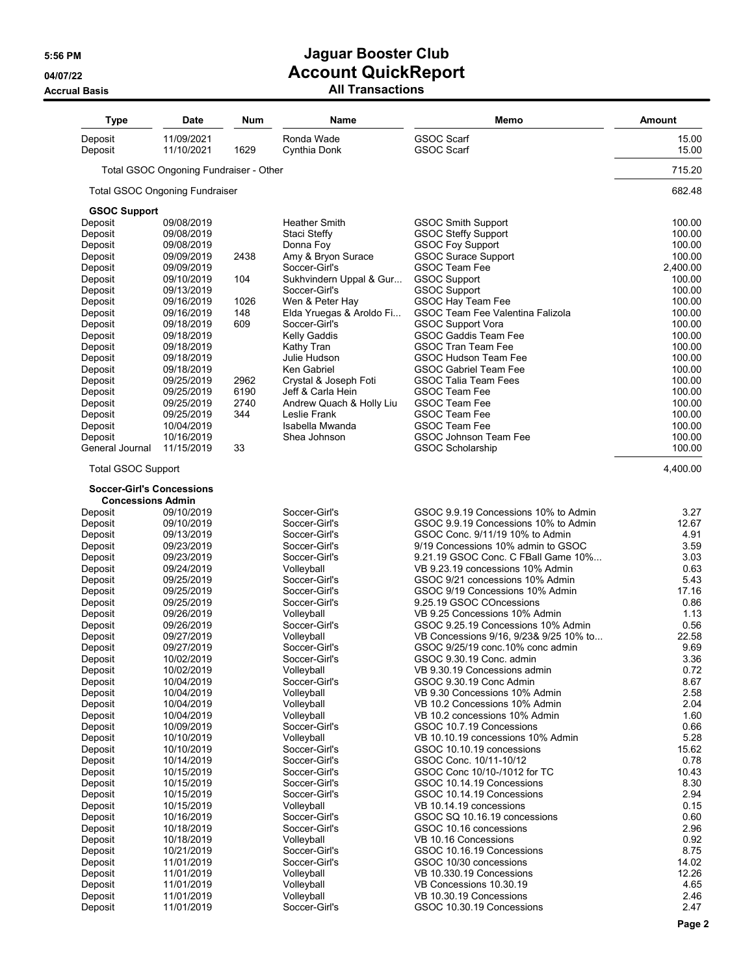**Accrual Basis** 

# **5:56 PM Jaguar Booster Club 04/07/22 Account QuickReport**

| <b>All Transactions</b> |  |
|-------------------------|--|
|-------------------------|--|

| <b>GSOC Scarf</b><br>Deposit<br>11/09/2021<br>Ronda Wade<br><b>GSOC Scarf</b><br>Deposit<br>11/10/2021<br>1629<br>Cynthia Donk<br>Total GSOC Ongoning Fundraiser - Other<br><b>Total GSOC Ongoning Fundraiser</b><br><b>GSOC Support</b><br>09/08/2019<br><b>Heather Smith</b><br>Deposit<br><b>GSOC Smith Support</b><br>Deposit<br>09/08/2019<br>Staci Steffy<br><b>GSOC Steffy Support</b><br>Deposit<br>09/08/2019<br><b>GSOC Foy Support</b><br>Donna Foy<br>Deposit<br>2438<br>Amy & Bryon Surace<br><b>GSOC Surace Support</b><br>09/09/2019<br>Deposit<br>Soccer-Girl's<br><b>GSOC Team Fee</b><br>09/09/2019<br><b>GSOC Support</b><br>104<br>Sukhvindern Uppal & Gur<br>Deposit<br>09/10/2019<br>Soccer-Girl's<br><b>GSOC Support</b><br>Deposit<br>09/13/2019<br>GSOC Hay Team Fee<br>Deposit<br>09/16/2019<br>1026<br>Wen & Peter Hay<br>09/16/2019<br>148<br>Elda Yruegas & Aroldo Fi<br>GSOC Team Fee Valentina Falizola<br>Deposit<br>609<br><b>GSOC Support Vora</b><br>Soccer-Girl's<br>Deposit<br>09/18/2019<br>Kelly Gaddis<br><b>GSOC Gaddis Team Fee</b><br>Deposit<br>09/18/2019<br><b>GSOC Tran Team Fee</b><br>Deposit<br>09/18/2019<br>Kathy Tran<br>Deposit<br>GSOC Hudson Team Fee<br>09/18/2019<br>Julie Hudson<br><b>GSOC Gabriel Team Fee</b><br>Deposit<br>09/18/2019<br>Ken Gabriel<br>Deposit<br>09/25/2019<br>2962<br>Crystal & Joseph Foti<br><b>GSOC Talia Team Fees</b><br>6190<br>Jeff & Carla Hein<br><b>GSOC Team Fee</b><br>Deposit<br>09/25/2019<br>Deposit<br>09/25/2019<br>2740<br>Andrew Quach & Holly Liu<br><b>GSOC Team Fee</b><br>Deposit<br>09/25/2019<br>344<br>Leslie Frank<br><b>GSOC Team Fee</b><br>Deposit<br>10/04/2019<br>Isabella Mwanda<br><b>GSOC Team Fee</b><br>10/16/2019<br><b>GSOC Johnson Team Fee</b><br>Deposit<br>Shea Johnson<br>General Journal<br>11/15/2019<br>33<br><b>GSOC Scholarship</b><br><b>Total GSOC Support</b><br><b>Soccer-Girl's Concessions</b><br><b>Concessions Admin</b><br>Soccer-Girl's<br>GSOC 9.9.19 Concessions 10% to Admin<br>Deposit<br>09/10/2019<br>09/10/2019<br>Soccer-Girl's<br>GSOC 9.9.19 Concessions 10% to Admin<br>Deposit<br>GSOC Conc. 9/11/19 10% to Admin<br>Deposit<br>09/13/2019<br>Soccer-Girl's<br>Soccer-Girl's<br>9/19 Concessions 10% admin to GSOC<br>Deposit<br>09/23/2019<br>Deposit<br>9.21.19 GSOC Conc. C FBall Game 10%<br>09/23/2019<br>Soccer-Girl's<br>09/24/2019<br>VB 9.23.19 concessions 10% Admin<br>Deposit<br>Volleyball<br>Deposit<br>Soccer-Girl's<br>GSOC 9/21 concessions 10% Admin<br>09/25/2019<br>09/25/2019<br>Soccer-Girl's<br>GSOC 9/19 Concessions 10% Admin<br>Deposit<br>Deposit<br>09/25/2019<br>Soccer-Girl's<br>9.25.19 GSOC COncessions<br>Deposit<br>09/26/2019<br>VB 9.25 Concessions 10% Admin<br>Volleyball<br>Deposit<br>09/26/2019<br>Soccer-Girl's<br>GSOC 9.25.19 Concessions 10% Admin<br>VB Concessions 9/16, 9/23& 9/25 10% to<br>Deposit<br>09/27/2019<br>Volleyball<br>GSOC 9/25/19 conc.10% conc admin<br>Deposit<br>09/27/2019<br>Soccer-Girl's<br>10/02/2019<br>Soccer-Girl's<br>GSOC 9.30.19 Conc. admin<br>Deposit<br>10/02/2019<br>Deposit<br>Volleyball<br>VB 9.30.19 Concessions admin<br>Deposit<br>10/04/2019<br>Soccer-Girl's<br>GSOC 9.30.19 Conc Admin<br>Deposit<br>Volleyball<br>VB 9.30 Concessions 10% Admin<br>10/04/2019<br>Deposit<br>10/04/2019<br>Volleyball<br>VB 10.2 Concessions 10% Admin<br>Volleyball<br>Deposit<br>10/04/2019<br>VB 10.2 concessions 10% Admin<br>Deposit<br>10/09/2019<br>Soccer-Girl's<br>GSOC 10.7.19 Concessions<br>Deposit<br>10/10/2019<br>Volleyball<br>VB 10.10.19 concessions 10% Admin<br>Deposit<br>10/10/2019<br>Soccer-Girl's<br>GSOC 10.10.19 concessions<br>Deposit<br>10/14/2019<br>Soccer-Girl's<br>GSOC Conc. 10/11-10/12<br>Deposit<br>GSOC Conc 10/10-/1012 for TC<br>10/15/2019<br>Soccer-Girl's<br>Deposit<br>10/15/2019<br>Soccer-Girl's<br>GSOC 10.14.19 Concessions<br>Deposit<br>10/15/2019<br>Soccer-Girl's<br>GSOC 10.14.19 Concessions<br>Deposit<br>10/15/2019<br>Volleyball<br>VB 10.14.19 concessions<br>Deposit<br>Soccer-Girl's<br>GSOC SQ 10.16.19 concessions<br>10/16/2019<br>Deposit<br>Soccer-Girl's<br>GSOC 10.16 concessions<br>10/18/2019<br>Deposit<br>VB 10.16 Concessions<br>10/18/2019<br>Volleyball<br>Soccer-Girl's<br>GSOC 10.16.19 Concessions<br>Deposit<br>10/21/2019<br>Soccer-Girl's<br>Deposit<br>11/01/2019<br>GSOC 10/30 concessions<br>Deposit<br>Volleyball<br>VB 10.330.19 Concessions<br>11/01/2019<br>Deposit<br>11/01/2019<br>Volleyball<br>VB Concessions 10.30.19 | <b>Type</b> | <b>Date</b> | Num | Name | Memo | <b>Amount</b>      |
|-------------------------------------------------------------------------------------------------------------------------------------------------------------------------------------------------------------------------------------------------------------------------------------------------------------------------------------------------------------------------------------------------------------------------------------------------------------------------------------------------------------------------------------------------------------------------------------------------------------------------------------------------------------------------------------------------------------------------------------------------------------------------------------------------------------------------------------------------------------------------------------------------------------------------------------------------------------------------------------------------------------------------------------------------------------------------------------------------------------------------------------------------------------------------------------------------------------------------------------------------------------------------------------------------------------------------------------------------------------------------------------------------------------------------------------------------------------------------------------------------------------------------------------------------------------------------------------------------------------------------------------------------------------------------------------------------------------------------------------------------------------------------------------------------------------------------------------------------------------------------------------------------------------------------------------------------------------------------------------------------------------------------------------------------------------------------------------------------------------------------------------------------------------------------------------------------------------------------------------------------------------------------------------------------------------------------------------------------------------------------------------------------------------------------------------------------------------------------------------------------------------------------------------------------------------------------------------------------------------------------------------------------------------------------------------------------------------------------------------------------------------------------------------------------------------------------------------------------------------------------------------------------------------------------------------------------------------------------------------------------------------------------------------------------------------------------------------------------------------------------------------------------------------------------------------------------------------------------------------------------------------------------------------------------------------------------------------------------------------------------------------------------------------------------------------------------------------------------------------------------------------------------------------------------------------------------------------------------------------------------------------------------------------------------------------------------------------------------------------------------------------------------------------------------------------------------------------------------------------------------------------------------------------------------------------------------------------------------------------------------------------------------------------------------------------------------------------------------------------------------------------------------------------------------------------------------------------------------------------------------------------------------------------------------------------------------------------------------------------------------------------------------------------------------------------------------------------------------------------------------------------------------------------------------------|-------------|-------------|-----|------|------|--------------------|
|                                                                                                                                                                                                                                                                                                                                                                                                                                                                                                                                                                                                                                                                                                                                                                                                                                                                                                                                                                                                                                                                                                                                                                                                                                                                                                                                                                                                                                                                                                                                                                                                                                                                                                                                                                                                                                                                                                                                                                                                                                                                                                                                                                                                                                                                                                                                                                                                                                                                                                                                                                                                                                                                                                                                                                                                                                                                                                                                                                                                                                                                                                                                                                                                                                                                                                                                                                                                                                                                                                                                                                                                                                                                                                                                                                                                                                                                                                                                                                                                                                                                                                                                                                                                                                                                                                                                                                                                                                                                                                                                                       |             |             |     |      |      | 15.00<br>15.00     |
|                                                                                                                                                                                                                                                                                                                                                                                                                                                                                                                                                                                                                                                                                                                                                                                                                                                                                                                                                                                                                                                                                                                                                                                                                                                                                                                                                                                                                                                                                                                                                                                                                                                                                                                                                                                                                                                                                                                                                                                                                                                                                                                                                                                                                                                                                                                                                                                                                                                                                                                                                                                                                                                                                                                                                                                                                                                                                                                                                                                                                                                                                                                                                                                                                                                                                                                                                                                                                                                                                                                                                                                                                                                                                                                                                                                                                                                                                                                                                                                                                                                                                                                                                                                                                                                                                                                                                                                                                                                                                                                                                       |             |             |     |      |      | 715.20             |
|                                                                                                                                                                                                                                                                                                                                                                                                                                                                                                                                                                                                                                                                                                                                                                                                                                                                                                                                                                                                                                                                                                                                                                                                                                                                                                                                                                                                                                                                                                                                                                                                                                                                                                                                                                                                                                                                                                                                                                                                                                                                                                                                                                                                                                                                                                                                                                                                                                                                                                                                                                                                                                                                                                                                                                                                                                                                                                                                                                                                                                                                                                                                                                                                                                                                                                                                                                                                                                                                                                                                                                                                                                                                                                                                                                                                                                                                                                                                                                                                                                                                                                                                                                                                                                                                                                                                                                                                                                                                                                                                                       |             |             |     |      |      | 682.48             |
|                                                                                                                                                                                                                                                                                                                                                                                                                                                                                                                                                                                                                                                                                                                                                                                                                                                                                                                                                                                                                                                                                                                                                                                                                                                                                                                                                                                                                                                                                                                                                                                                                                                                                                                                                                                                                                                                                                                                                                                                                                                                                                                                                                                                                                                                                                                                                                                                                                                                                                                                                                                                                                                                                                                                                                                                                                                                                                                                                                                                                                                                                                                                                                                                                                                                                                                                                                                                                                                                                                                                                                                                                                                                                                                                                                                                                                                                                                                                                                                                                                                                                                                                                                                                                                                                                                                                                                                                                                                                                                                                                       |             |             |     |      |      |                    |
|                                                                                                                                                                                                                                                                                                                                                                                                                                                                                                                                                                                                                                                                                                                                                                                                                                                                                                                                                                                                                                                                                                                                                                                                                                                                                                                                                                                                                                                                                                                                                                                                                                                                                                                                                                                                                                                                                                                                                                                                                                                                                                                                                                                                                                                                                                                                                                                                                                                                                                                                                                                                                                                                                                                                                                                                                                                                                                                                                                                                                                                                                                                                                                                                                                                                                                                                                                                                                                                                                                                                                                                                                                                                                                                                                                                                                                                                                                                                                                                                                                                                                                                                                                                                                                                                                                                                                                                                                                                                                                                                                       |             |             |     |      |      | 100.00             |
|                                                                                                                                                                                                                                                                                                                                                                                                                                                                                                                                                                                                                                                                                                                                                                                                                                                                                                                                                                                                                                                                                                                                                                                                                                                                                                                                                                                                                                                                                                                                                                                                                                                                                                                                                                                                                                                                                                                                                                                                                                                                                                                                                                                                                                                                                                                                                                                                                                                                                                                                                                                                                                                                                                                                                                                                                                                                                                                                                                                                                                                                                                                                                                                                                                                                                                                                                                                                                                                                                                                                                                                                                                                                                                                                                                                                                                                                                                                                                                                                                                                                                                                                                                                                                                                                                                                                                                                                                                                                                                                                                       |             |             |     |      |      | 100.00             |
|                                                                                                                                                                                                                                                                                                                                                                                                                                                                                                                                                                                                                                                                                                                                                                                                                                                                                                                                                                                                                                                                                                                                                                                                                                                                                                                                                                                                                                                                                                                                                                                                                                                                                                                                                                                                                                                                                                                                                                                                                                                                                                                                                                                                                                                                                                                                                                                                                                                                                                                                                                                                                                                                                                                                                                                                                                                                                                                                                                                                                                                                                                                                                                                                                                                                                                                                                                                                                                                                                                                                                                                                                                                                                                                                                                                                                                                                                                                                                                                                                                                                                                                                                                                                                                                                                                                                                                                                                                                                                                                                                       |             |             |     |      |      | 100.00             |
|                                                                                                                                                                                                                                                                                                                                                                                                                                                                                                                                                                                                                                                                                                                                                                                                                                                                                                                                                                                                                                                                                                                                                                                                                                                                                                                                                                                                                                                                                                                                                                                                                                                                                                                                                                                                                                                                                                                                                                                                                                                                                                                                                                                                                                                                                                                                                                                                                                                                                                                                                                                                                                                                                                                                                                                                                                                                                                                                                                                                                                                                                                                                                                                                                                                                                                                                                                                                                                                                                                                                                                                                                                                                                                                                                                                                                                                                                                                                                                                                                                                                                                                                                                                                                                                                                                                                                                                                                                                                                                                                                       |             |             |     |      |      | 100.00             |
|                                                                                                                                                                                                                                                                                                                                                                                                                                                                                                                                                                                                                                                                                                                                                                                                                                                                                                                                                                                                                                                                                                                                                                                                                                                                                                                                                                                                                                                                                                                                                                                                                                                                                                                                                                                                                                                                                                                                                                                                                                                                                                                                                                                                                                                                                                                                                                                                                                                                                                                                                                                                                                                                                                                                                                                                                                                                                                                                                                                                                                                                                                                                                                                                                                                                                                                                                                                                                                                                                                                                                                                                                                                                                                                                                                                                                                                                                                                                                                                                                                                                                                                                                                                                                                                                                                                                                                                                                                                                                                                                                       |             |             |     |      |      | 2,400.00<br>100.00 |
|                                                                                                                                                                                                                                                                                                                                                                                                                                                                                                                                                                                                                                                                                                                                                                                                                                                                                                                                                                                                                                                                                                                                                                                                                                                                                                                                                                                                                                                                                                                                                                                                                                                                                                                                                                                                                                                                                                                                                                                                                                                                                                                                                                                                                                                                                                                                                                                                                                                                                                                                                                                                                                                                                                                                                                                                                                                                                                                                                                                                                                                                                                                                                                                                                                                                                                                                                                                                                                                                                                                                                                                                                                                                                                                                                                                                                                                                                                                                                                                                                                                                                                                                                                                                                                                                                                                                                                                                                                                                                                                                                       |             |             |     |      |      | 100.00             |
|                                                                                                                                                                                                                                                                                                                                                                                                                                                                                                                                                                                                                                                                                                                                                                                                                                                                                                                                                                                                                                                                                                                                                                                                                                                                                                                                                                                                                                                                                                                                                                                                                                                                                                                                                                                                                                                                                                                                                                                                                                                                                                                                                                                                                                                                                                                                                                                                                                                                                                                                                                                                                                                                                                                                                                                                                                                                                                                                                                                                                                                                                                                                                                                                                                                                                                                                                                                                                                                                                                                                                                                                                                                                                                                                                                                                                                                                                                                                                                                                                                                                                                                                                                                                                                                                                                                                                                                                                                                                                                                                                       |             |             |     |      |      | 100.00             |
|                                                                                                                                                                                                                                                                                                                                                                                                                                                                                                                                                                                                                                                                                                                                                                                                                                                                                                                                                                                                                                                                                                                                                                                                                                                                                                                                                                                                                                                                                                                                                                                                                                                                                                                                                                                                                                                                                                                                                                                                                                                                                                                                                                                                                                                                                                                                                                                                                                                                                                                                                                                                                                                                                                                                                                                                                                                                                                                                                                                                                                                                                                                                                                                                                                                                                                                                                                                                                                                                                                                                                                                                                                                                                                                                                                                                                                                                                                                                                                                                                                                                                                                                                                                                                                                                                                                                                                                                                                                                                                                                                       |             |             |     |      |      | 100.00             |
|                                                                                                                                                                                                                                                                                                                                                                                                                                                                                                                                                                                                                                                                                                                                                                                                                                                                                                                                                                                                                                                                                                                                                                                                                                                                                                                                                                                                                                                                                                                                                                                                                                                                                                                                                                                                                                                                                                                                                                                                                                                                                                                                                                                                                                                                                                                                                                                                                                                                                                                                                                                                                                                                                                                                                                                                                                                                                                                                                                                                                                                                                                                                                                                                                                                                                                                                                                                                                                                                                                                                                                                                                                                                                                                                                                                                                                                                                                                                                                                                                                                                                                                                                                                                                                                                                                                                                                                                                                                                                                                                                       |             |             |     |      |      | 100.00             |
|                                                                                                                                                                                                                                                                                                                                                                                                                                                                                                                                                                                                                                                                                                                                                                                                                                                                                                                                                                                                                                                                                                                                                                                                                                                                                                                                                                                                                                                                                                                                                                                                                                                                                                                                                                                                                                                                                                                                                                                                                                                                                                                                                                                                                                                                                                                                                                                                                                                                                                                                                                                                                                                                                                                                                                                                                                                                                                                                                                                                                                                                                                                                                                                                                                                                                                                                                                                                                                                                                                                                                                                                                                                                                                                                                                                                                                                                                                                                                                                                                                                                                                                                                                                                                                                                                                                                                                                                                                                                                                                                                       |             |             |     |      |      | 100.00             |
|                                                                                                                                                                                                                                                                                                                                                                                                                                                                                                                                                                                                                                                                                                                                                                                                                                                                                                                                                                                                                                                                                                                                                                                                                                                                                                                                                                                                                                                                                                                                                                                                                                                                                                                                                                                                                                                                                                                                                                                                                                                                                                                                                                                                                                                                                                                                                                                                                                                                                                                                                                                                                                                                                                                                                                                                                                                                                                                                                                                                                                                                                                                                                                                                                                                                                                                                                                                                                                                                                                                                                                                                                                                                                                                                                                                                                                                                                                                                                                                                                                                                                                                                                                                                                                                                                                                                                                                                                                                                                                                                                       |             |             |     |      |      | 100.00             |
|                                                                                                                                                                                                                                                                                                                                                                                                                                                                                                                                                                                                                                                                                                                                                                                                                                                                                                                                                                                                                                                                                                                                                                                                                                                                                                                                                                                                                                                                                                                                                                                                                                                                                                                                                                                                                                                                                                                                                                                                                                                                                                                                                                                                                                                                                                                                                                                                                                                                                                                                                                                                                                                                                                                                                                                                                                                                                                                                                                                                                                                                                                                                                                                                                                                                                                                                                                                                                                                                                                                                                                                                                                                                                                                                                                                                                                                                                                                                                                                                                                                                                                                                                                                                                                                                                                                                                                                                                                                                                                                                                       |             |             |     |      |      | 100.00             |
|                                                                                                                                                                                                                                                                                                                                                                                                                                                                                                                                                                                                                                                                                                                                                                                                                                                                                                                                                                                                                                                                                                                                                                                                                                                                                                                                                                                                                                                                                                                                                                                                                                                                                                                                                                                                                                                                                                                                                                                                                                                                                                                                                                                                                                                                                                                                                                                                                                                                                                                                                                                                                                                                                                                                                                                                                                                                                                                                                                                                                                                                                                                                                                                                                                                                                                                                                                                                                                                                                                                                                                                                                                                                                                                                                                                                                                                                                                                                                                                                                                                                                                                                                                                                                                                                                                                                                                                                                                                                                                                                                       |             |             |     |      |      | 100.00             |
|                                                                                                                                                                                                                                                                                                                                                                                                                                                                                                                                                                                                                                                                                                                                                                                                                                                                                                                                                                                                                                                                                                                                                                                                                                                                                                                                                                                                                                                                                                                                                                                                                                                                                                                                                                                                                                                                                                                                                                                                                                                                                                                                                                                                                                                                                                                                                                                                                                                                                                                                                                                                                                                                                                                                                                                                                                                                                                                                                                                                                                                                                                                                                                                                                                                                                                                                                                                                                                                                                                                                                                                                                                                                                                                                                                                                                                                                                                                                                                                                                                                                                                                                                                                                                                                                                                                                                                                                                                                                                                                                                       |             |             |     |      |      | 100.00             |
|                                                                                                                                                                                                                                                                                                                                                                                                                                                                                                                                                                                                                                                                                                                                                                                                                                                                                                                                                                                                                                                                                                                                                                                                                                                                                                                                                                                                                                                                                                                                                                                                                                                                                                                                                                                                                                                                                                                                                                                                                                                                                                                                                                                                                                                                                                                                                                                                                                                                                                                                                                                                                                                                                                                                                                                                                                                                                                                                                                                                                                                                                                                                                                                                                                                                                                                                                                                                                                                                                                                                                                                                                                                                                                                                                                                                                                                                                                                                                                                                                                                                                                                                                                                                                                                                                                                                                                                                                                                                                                                                                       |             |             |     |      |      | 100.00             |
|                                                                                                                                                                                                                                                                                                                                                                                                                                                                                                                                                                                                                                                                                                                                                                                                                                                                                                                                                                                                                                                                                                                                                                                                                                                                                                                                                                                                                                                                                                                                                                                                                                                                                                                                                                                                                                                                                                                                                                                                                                                                                                                                                                                                                                                                                                                                                                                                                                                                                                                                                                                                                                                                                                                                                                                                                                                                                                                                                                                                                                                                                                                                                                                                                                                                                                                                                                                                                                                                                                                                                                                                                                                                                                                                                                                                                                                                                                                                                                                                                                                                                                                                                                                                                                                                                                                                                                                                                                                                                                                                                       |             |             |     |      |      | 100.00             |
|                                                                                                                                                                                                                                                                                                                                                                                                                                                                                                                                                                                                                                                                                                                                                                                                                                                                                                                                                                                                                                                                                                                                                                                                                                                                                                                                                                                                                                                                                                                                                                                                                                                                                                                                                                                                                                                                                                                                                                                                                                                                                                                                                                                                                                                                                                                                                                                                                                                                                                                                                                                                                                                                                                                                                                                                                                                                                                                                                                                                                                                                                                                                                                                                                                                                                                                                                                                                                                                                                                                                                                                                                                                                                                                                                                                                                                                                                                                                                                                                                                                                                                                                                                                                                                                                                                                                                                                                                                                                                                                                                       |             |             |     |      |      | 100.00             |
|                                                                                                                                                                                                                                                                                                                                                                                                                                                                                                                                                                                                                                                                                                                                                                                                                                                                                                                                                                                                                                                                                                                                                                                                                                                                                                                                                                                                                                                                                                                                                                                                                                                                                                                                                                                                                                                                                                                                                                                                                                                                                                                                                                                                                                                                                                                                                                                                                                                                                                                                                                                                                                                                                                                                                                                                                                                                                                                                                                                                                                                                                                                                                                                                                                                                                                                                                                                                                                                                                                                                                                                                                                                                                                                                                                                                                                                                                                                                                                                                                                                                                                                                                                                                                                                                                                                                                                                                                                                                                                                                                       |             |             |     |      |      | 100.00             |
|                                                                                                                                                                                                                                                                                                                                                                                                                                                                                                                                                                                                                                                                                                                                                                                                                                                                                                                                                                                                                                                                                                                                                                                                                                                                                                                                                                                                                                                                                                                                                                                                                                                                                                                                                                                                                                                                                                                                                                                                                                                                                                                                                                                                                                                                                                                                                                                                                                                                                                                                                                                                                                                                                                                                                                                                                                                                                                                                                                                                                                                                                                                                                                                                                                                                                                                                                                                                                                                                                                                                                                                                                                                                                                                                                                                                                                                                                                                                                                                                                                                                                                                                                                                                                                                                                                                                                                                                                                                                                                                                                       |             |             |     |      |      | 100.00<br>100.00   |
|                                                                                                                                                                                                                                                                                                                                                                                                                                                                                                                                                                                                                                                                                                                                                                                                                                                                                                                                                                                                                                                                                                                                                                                                                                                                                                                                                                                                                                                                                                                                                                                                                                                                                                                                                                                                                                                                                                                                                                                                                                                                                                                                                                                                                                                                                                                                                                                                                                                                                                                                                                                                                                                                                                                                                                                                                                                                                                                                                                                                                                                                                                                                                                                                                                                                                                                                                                                                                                                                                                                                                                                                                                                                                                                                                                                                                                                                                                                                                                                                                                                                                                                                                                                                                                                                                                                                                                                                                                                                                                                                                       |             |             |     |      |      | 4,400.00           |
|                                                                                                                                                                                                                                                                                                                                                                                                                                                                                                                                                                                                                                                                                                                                                                                                                                                                                                                                                                                                                                                                                                                                                                                                                                                                                                                                                                                                                                                                                                                                                                                                                                                                                                                                                                                                                                                                                                                                                                                                                                                                                                                                                                                                                                                                                                                                                                                                                                                                                                                                                                                                                                                                                                                                                                                                                                                                                                                                                                                                                                                                                                                                                                                                                                                                                                                                                                                                                                                                                                                                                                                                                                                                                                                                                                                                                                                                                                                                                                                                                                                                                                                                                                                                                                                                                                                                                                                                                                                                                                                                                       |             |             |     |      |      |                    |
|                                                                                                                                                                                                                                                                                                                                                                                                                                                                                                                                                                                                                                                                                                                                                                                                                                                                                                                                                                                                                                                                                                                                                                                                                                                                                                                                                                                                                                                                                                                                                                                                                                                                                                                                                                                                                                                                                                                                                                                                                                                                                                                                                                                                                                                                                                                                                                                                                                                                                                                                                                                                                                                                                                                                                                                                                                                                                                                                                                                                                                                                                                                                                                                                                                                                                                                                                                                                                                                                                                                                                                                                                                                                                                                                                                                                                                                                                                                                                                                                                                                                                                                                                                                                                                                                                                                                                                                                                                                                                                                                                       |             |             |     |      |      |                    |
|                                                                                                                                                                                                                                                                                                                                                                                                                                                                                                                                                                                                                                                                                                                                                                                                                                                                                                                                                                                                                                                                                                                                                                                                                                                                                                                                                                                                                                                                                                                                                                                                                                                                                                                                                                                                                                                                                                                                                                                                                                                                                                                                                                                                                                                                                                                                                                                                                                                                                                                                                                                                                                                                                                                                                                                                                                                                                                                                                                                                                                                                                                                                                                                                                                                                                                                                                                                                                                                                                                                                                                                                                                                                                                                                                                                                                                                                                                                                                                                                                                                                                                                                                                                                                                                                                                                                                                                                                                                                                                                                                       |             |             |     |      |      | 3.27               |
|                                                                                                                                                                                                                                                                                                                                                                                                                                                                                                                                                                                                                                                                                                                                                                                                                                                                                                                                                                                                                                                                                                                                                                                                                                                                                                                                                                                                                                                                                                                                                                                                                                                                                                                                                                                                                                                                                                                                                                                                                                                                                                                                                                                                                                                                                                                                                                                                                                                                                                                                                                                                                                                                                                                                                                                                                                                                                                                                                                                                                                                                                                                                                                                                                                                                                                                                                                                                                                                                                                                                                                                                                                                                                                                                                                                                                                                                                                                                                                                                                                                                                                                                                                                                                                                                                                                                                                                                                                                                                                                                                       |             |             |     |      |      | 12.67              |
|                                                                                                                                                                                                                                                                                                                                                                                                                                                                                                                                                                                                                                                                                                                                                                                                                                                                                                                                                                                                                                                                                                                                                                                                                                                                                                                                                                                                                                                                                                                                                                                                                                                                                                                                                                                                                                                                                                                                                                                                                                                                                                                                                                                                                                                                                                                                                                                                                                                                                                                                                                                                                                                                                                                                                                                                                                                                                                                                                                                                                                                                                                                                                                                                                                                                                                                                                                                                                                                                                                                                                                                                                                                                                                                                                                                                                                                                                                                                                                                                                                                                                                                                                                                                                                                                                                                                                                                                                                                                                                                                                       |             |             |     |      |      | 4.91               |
|                                                                                                                                                                                                                                                                                                                                                                                                                                                                                                                                                                                                                                                                                                                                                                                                                                                                                                                                                                                                                                                                                                                                                                                                                                                                                                                                                                                                                                                                                                                                                                                                                                                                                                                                                                                                                                                                                                                                                                                                                                                                                                                                                                                                                                                                                                                                                                                                                                                                                                                                                                                                                                                                                                                                                                                                                                                                                                                                                                                                                                                                                                                                                                                                                                                                                                                                                                                                                                                                                                                                                                                                                                                                                                                                                                                                                                                                                                                                                                                                                                                                                                                                                                                                                                                                                                                                                                                                                                                                                                                                                       |             |             |     |      |      | 3.59<br>3.03       |
|                                                                                                                                                                                                                                                                                                                                                                                                                                                                                                                                                                                                                                                                                                                                                                                                                                                                                                                                                                                                                                                                                                                                                                                                                                                                                                                                                                                                                                                                                                                                                                                                                                                                                                                                                                                                                                                                                                                                                                                                                                                                                                                                                                                                                                                                                                                                                                                                                                                                                                                                                                                                                                                                                                                                                                                                                                                                                                                                                                                                                                                                                                                                                                                                                                                                                                                                                                                                                                                                                                                                                                                                                                                                                                                                                                                                                                                                                                                                                                                                                                                                                                                                                                                                                                                                                                                                                                                                                                                                                                                                                       |             |             |     |      |      | 0.63               |
|                                                                                                                                                                                                                                                                                                                                                                                                                                                                                                                                                                                                                                                                                                                                                                                                                                                                                                                                                                                                                                                                                                                                                                                                                                                                                                                                                                                                                                                                                                                                                                                                                                                                                                                                                                                                                                                                                                                                                                                                                                                                                                                                                                                                                                                                                                                                                                                                                                                                                                                                                                                                                                                                                                                                                                                                                                                                                                                                                                                                                                                                                                                                                                                                                                                                                                                                                                                                                                                                                                                                                                                                                                                                                                                                                                                                                                                                                                                                                                                                                                                                                                                                                                                                                                                                                                                                                                                                                                                                                                                                                       |             |             |     |      |      | 5.43               |
|                                                                                                                                                                                                                                                                                                                                                                                                                                                                                                                                                                                                                                                                                                                                                                                                                                                                                                                                                                                                                                                                                                                                                                                                                                                                                                                                                                                                                                                                                                                                                                                                                                                                                                                                                                                                                                                                                                                                                                                                                                                                                                                                                                                                                                                                                                                                                                                                                                                                                                                                                                                                                                                                                                                                                                                                                                                                                                                                                                                                                                                                                                                                                                                                                                                                                                                                                                                                                                                                                                                                                                                                                                                                                                                                                                                                                                                                                                                                                                                                                                                                                                                                                                                                                                                                                                                                                                                                                                                                                                                                                       |             |             |     |      |      | 17.16              |
|                                                                                                                                                                                                                                                                                                                                                                                                                                                                                                                                                                                                                                                                                                                                                                                                                                                                                                                                                                                                                                                                                                                                                                                                                                                                                                                                                                                                                                                                                                                                                                                                                                                                                                                                                                                                                                                                                                                                                                                                                                                                                                                                                                                                                                                                                                                                                                                                                                                                                                                                                                                                                                                                                                                                                                                                                                                                                                                                                                                                                                                                                                                                                                                                                                                                                                                                                                                                                                                                                                                                                                                                                                                                                                                                                                                                                                                                                                                                                                                                                                                                                                                                                                                                                                                                                                                                                                                                                                                                                                                                                       |             |             |     |      |      | 0.86               |
|                                                                                                                                                                                                                                                                                                                                                                                                                                                                                                                                                                                                                                                                                                                                                                                                                                                                                                                                                                                                                                                                                                                                                                                                                                                                                                                                                                                                                                                                                                                                                                                                                                                                                                                                                                                                                                                                                                                                                                                                                                                                                                                                                                                                                                                                                                                                                                                                                                                                                                                                                                                                                                                                                                                                                                                                                                                                                                                                                                                                                                                                                                                                                                                                                                                                                                                                                                                                                                                                                                                                                                                                                                                                                                                                                                                                                                                                                                                                                                                                                                                                                                                                                                                                                                                                                                                                                                                                                                                                                                                                                       |             |             |     |      |      | 1.13               |
|                                                                                                                                                                                                                                                                                                                                                                                                                                                                                                                                                                                                                                                                                                                                                                                                                                                                                                                                                                                                                                                                                                                                                                                                                                                                                                                                                                                                                                                                                                                                                                                                                                                                                                                                                                                                                                                                                                                                                                                                                                                                                                                                                                                                                                                                                                                                                                                                                                                                                                                                                                                                                                                                                                                                                                                                                                                                                                                                                                                                                                                                                                                                                                                                                                                                                                                                                                                                                                                                                                                                                                                                                                                                                                                                                                                                                                                                                                                                                                                                                                                                                                                                                                                                                                                                                                                                                                                                                                                                                                                                                       |             |             |     |      |      | 0.56               |
|                                                                                                                                                                                                                                                                                                                                                                                                                                                                                                                                                                                                                                                                                                                                                                                                                                                                                                                                                                                                                                                                                                                                                                                                                                                                                                                                                                                                                                                                                                                                                                                                                                                                                                                                                                                                                                                                                                                                                                                                                                                                                                                                                                                                                                                                                                                                                                                                                                                                                                                                                                                                                                                                                                                                                                                                                                                                                                                                                                                                                                                                                                                                                                                                                                                                                                                                                                                                                                                                                                                                                                                                                                                                                                                                                                                                                                                                                                                                                                                                                                                                                                                                                                                                                                                                                                                                                                                                                                                                                                                                                       |             |             |     |      |      | 22.58              |
|                                                                                                                                                                                                                                                                                                                                                                                                                                                                                                                                                                                                                                                                                                                                                                                                                                                                                                                                                                                                                                                                                                                                                                                                                                                                                                                                                                                                                                                                                                                                                                                                                                                                                                                                                                                                                                                                                                                                                                                                                                                                                                                                                                                                                                                                                                                                                                                                                                                                                                                                                                                                                                                                                                                                                                                                                                                                                                                                                                                                                                                                                                                                                                                                                                                                                                                                                                                                                                                                                                                                                                                                                                                                                                                                                                                                                                                                                                                                                                                                                                                                                                                                                                                                                                                                                                                                                                                                                                                                                                                                                       |             |             |     |      |      | 9.69               |
|                                                                                                                                                                                                                                                                                                                                                                                                                                                                                                                                                                                                                                                                                                                                                                                                                                                                                                                                                                                                                                                                                                                                                                                                                                                                                                                                                                                                                                                                                                                                                                                                                                                                                                                                                                                                                                                                                                                                                                                                                                                                                                                                                                                                                                                                                                                                                                                                                                                                                                                                                                                                                                                                                                                                                                                                                                                                                                                                                                                                                                                                                                                                                                                                                                                                                                                                                                                                                                                                                                                                                                                                                                                                                                                                                                                                                                                                                                                                                                                                                                                                                                                                                                                                                                                                                                                                                                                                                                                                                                                                                       |             |             |     |      |      | 3.36               |
|                                                                                                                                                                                                                                                                                                                                                                                                                                                                                                                                                                                                                                                                                                                                                                                                                                                                                                                                                                                                                                                                                                                                                                                                                                                                                                                                                                                                                                                                                                                                                                                                                                                                                                                                                                                                                                                                                                                                                                                                                                                                                                                                                                                                                                                                                                                                                                                                                                                                                                                                                                                                                                                                                                                                                                                                                                                                                                                                                                                                                                                                                                                                                                                                                                                                                                                                                                                                                                                                                                                                                                                                                                                                                                                                                                                                                                                                                                                                                                                                                                                                                                                                                                                                                                                                                                                                                                                                                                                                                                                                                       |             |             |     |      |      | 0.72<br>8.67       |
|                                                                                                                                                                                                                                                                                                                                                                                                                                                                                                                                                                                                                                                                                                                                                                                                                                                                                                                                                                                                                                                                                                                                                                                                                                                                                                                                                                                                                                                                                                                                                                                                                                                                                                                                                                                                                                                                                                                                                                                                                                                                                                                                                                                                                                                                                                                                                                                                                                                                                                                                                                                                                                                                                                                                                                                                                                                                                                                                                                                                                                                                                                                                                                                                                                                                                                                                                                                                                                                                                                                                                                                                                                                                                                                                                                                                                                                                                                                                                                                                                                                                                                                                                                                                                                                                                                                                                                                                                                                                                                                                                       |             |             |     |      |      | 2.58               |
|                                                                                                                                                                                                                                                                                                                                                                                                                                                                                                                                                                                                                                                                                                                                                                                                                                                                                                                                                                                                                                                                                                                                                                                                                                                                                                                                                                                                                                                                                                                                                                                                                                                                                                                                                                                                                                                                                                                                                                                                                                                                                                                                                                                                                                                                                                                                                                                                                                                                                                                                                                                                                                                                                                                                                                                                                                                                                                                                                                                                                                                                                                                                                                                                                                                                                                                                                                                                                                                                                                                                                                                                                                                                                                                                                                                                                                                                                                                                                                                                                                                                                                                                                                                                                                                                                                                                                                                                                                                                                                                                                       |             |             |     |      |      | 2.04               |
|                                                                                                                                                                                                                                                                                                                                                                                                                                                                                                                                                                                                                                                                                                                                                                                                                                                                                                                                                                                                                                                                                                                                                                                                                                                                                                                                                                                                                                                                                                                                                                                                                                                                                                                                                                                                                                                                                                                                                                                                                                                                                                                                                                                                                                                                                                                                                                                                                                                                                                                                                                                                                                                                                                                                                                                                                                                                                                                                                                                                                                                                                                                                                                                                                                                                                                                                                                                                                                                                                                                                                                                                                                                                                                                                                                                                                                                                                                                                                                                                                                                                                                                                                                                                                                                                                                                                                                                                                                                                                                                                                       |             |             |     |      |      | 1.60               |
|                                                                                                                                                                                                                                                                                                                                                                                                                                                                                                                                                                                                                                                                                                                                                                                                                                                                                                                                                                                                                                                                                                                                                                                                                                                                                                                                                                                                                                                                                                                                                                                                                                                                                                                                                                                                                                                                                                                                                                                                                                                                                                                                                                                                                                                                                                                                                                                                                                                                                                                                                                                                                                                                                                                                                                                                                                                                                                                                                                                                                                                                                                                                                                                                                                                                                                                                                                                                                                                                                                                                                                                                                                                                                                                                                                                                                                                                                                                                                                                                                                                                                                                                                                                                                                                                                                                                                                                                                                                                                                                                                       |             |             |     |      |      | 0.66               |
|                                                                                                                                                                                                                                                                                                                                                                                                                                                                                                                                                                                                                                                                                                                                                                                                                                                                                                                                                                                                                                                                                                                                                                                                                                                                                                                                                                                                                                                                                                                                                                                                                                                                                                                                                                                                                                                                                                                                                                                                                                                                                                                                                                                                                                                                                                                                                                                                                                                                                                                                                                                                                                                                                                                                                                                                                                                                                                                                                                                                                                                                                                                                                                                                                                                                                                                                                                                                                                                                                                                                                                                                                                                                                                                                                                                                                                                                                                                                                                                                                                                                                                                                                                                                                                                                                                                                                                                                                                                                                                                                                       |             |             |     |      |      | 5.28               |
|                                                                                                                                                                                                                                                                                                                                                                                                                                                                                                                                                                                                                                                                                                                                                                                                                                                                                                                                                                                                                                                                                                                                                                                                                                                                                                                                                                                                                                                                                                                                                                                                                                                                                                                                                                                                                                                                                                                                                                                                                                                                                                                                                                                                                                                                                                                                                                                                                                                                                                                                                                                                                                                                                                                                                                                                                                                                                                                                                                                                                                                                                                                                                                                                                                                                                                                                                                                                                                                                                                                                                                                                                                                                                                                                                                                                                                                                                                                                                                                                                                                                                                                                                                                                                                                                                                                                                                                                                                                                                                                                                       |             |             |     |      |      | 15.62              |
|                                                                                                                                                                                                                                                                                                                                                                                                                                                                                                                                                                                                                                                                                                                                                                                                                                                                                                                                                                                                                                                                                                                                                                                                                                                                                                                                                                                                                                                                                                                                                                                                                                                                                                                                                                                                                                                                                                                                                                                                                                                                                                                                                                                                                                                                                                                                                                                                                                                                                                                                                                                                                                                                                                                                                                                                                                                                                                                                                                                                                                                                                                                                                                                                                                                                                                                                                                                                                                                                                                                                                                                                                                                                                                                                                                                                                                                                                                                                                                                                                                                                                                                                                                                                                                                                                                                                                                                                                                                                                                                                                       |             |             |     |      |      | 0.78               |
|                                                                                                                                                                                                                                                                                                                                                                                                                                                                                                                                                                                                                                                                                                                                                                                                                                                                                                                                                                                                                                                                                                                                                                                                                                                                                                                                                                                                                                                                                                                                                                                                                                                                                                                                                                                                                                                                                                                                                                                                                                                                                                                                                                                                                                                                                                                                                                                                                                                                                                                                                                                                                                                                                                                                                                                                                                                                                                                                                                                                                                                                                                                                                                                                                                                                                                                                                                                                                                                                                                                                                                                                                                                                                                                                                                                                                                                                                                                                                                                                                                                                                                                                                                                                                                                                                                                                                                                                                                                                                                                                                       |             |             |     |      |      | 10.43              |
|                                                                                                                                                                                                                                                                                                                                                                                                                                                                                                                                                                                                                                                                                                                                                                                                                                                                                                                                                                                                                                                                                                                                                                                                                                                                                                                                                                                                                                                                                                                                                                                                                                                                                                                                                                                                                                                                                                                                                                                                                                                                                                                                                                                                                                                                                                                                                                                                                                                                                                                                                                                                                                                                                                                                                                                                                                                                                                                                                                                                                                                                                                                                                                                                                                                                                                                                                                                                                                                                                                                                                                                                                                                                                                                                                                                                                                                                                                                                                                                                                                                                                                                                                                                                                                                                                                                                                                                                                                                                                                                                                       |             |             |     |      |      | 8.30               |
|                                                                                                                                                                                                                                                                                                                                                                                                                                                                                                                                                                                                                                                                                                                                                                                                                                                                                                                                                                                                                                                                                                                                                                                                                                                                                                                                                                                                                                                                                                                                                                                                                                                                                                                                                                                                                                                                                                                                                                                                                                                                                                                                                                                                                                                                                                                                                                                                                                                                                                                                                                                                                                                                                                                                                                                                                                                                                                                                                                                                                                                                                                                                                                                                                                                                                                                                                                                                                                                                                                                                                                                                                                                                                                                                                                                                                                                                                                                                                                                                                                                                                                                                                                                                                                                                                                                                                                                                                                                                                                                                                       |             |             |     |      |      | 2.94               |
|                                                                                                                                                                                                                                                                                                                                                                                                                                                                                                                                                                                                                                                                                                                                                                                                                                                                                                                                                                                                                                                                                                                                                                                                                                                                                                                                                                                                                                                                                                                                                                                                                                                                                                                                                                                                                                                                                                                                                                                                                                                                                                                                                                                                                                                                                                                                                                                                                                                                                                                                                                                                                                                                                                                                                                                                                                                                                                                                                                                                                                                                                                                                                                                                                                                                                                                                                                                                                                                                                                                                                                                                                                                                                                                                                                                                                                                                                                                                                                                                                                                                                                                                                                                                                                                                                                                                                                                                                                                                                                                                                       |             |             |     |      |      | 0.15               |
|                                                                                                                                                                                                                                                                                                                                                                                                                                                                                                                                                                                                                                                                                                                                                                                                                                                                                                                                                                                                                                                                                                                                                                                                                                                                                                                                                                                                                                                                                                                                                                                                                                                                                                                                                                                                                                                                                                                                                                                                                                                                                                                                                                                                                                                                                                                                                                                                                                                                                                                                                                                                                                                                                                                                                                                                                                                                                                                                                                                                                                                                                                                                                                                                                                                                                                                                                                                                                                                                                                                                                                                                                                                                                                                                                                                                                                                                                                                                                                                                                                                                                                                                                                                                                                                                                                                                                                                                                                                                                                                                                       |             |             |     |      |      | 0.60               |
|                                                                                                                                                                                                                                                                                                                                                                                                                                                                                                                                                                                                                                                                                                                                                                                                                                                                                                                                                                                                                                                                                                                                                                                                                                                                                                                                                                                                                                                                                                                                                                                                                                                                                                                                                                                                                                                                                                                                                                                                                                                                                                                                                                                                                                                                                                                                                                                                                                                                                                                                                                                                                                                                                                                                                                                                                                                                                                                                                                                                                                                                                                                                                                                                                                                                                                                                                                                                                                                                                                                                                                                                                                                                                                                                                                                                                                                                                                                                                                                                                                                                                                                                                                                                                                                                                                                                                                                                                                                                                                                                                       |             |             |     |      |      | 2.96               |
|                                                                                                                                                                                                                                                                                                                                                                                                                                                                                                                                                                                                                                                                                                                                                                                                                                                                                                                                                                                                                                                                                                                                                                                                                                                                                                                                                                                                                                                                                                                                                                                                                                                                                                                                                                                                                                                                                                                                                                                                                                                                                                                                                                                                                                                                                                                                                                                                                                                                                                                                                                                                                                                                                                                                                                                                                                                                                                                                                                                                                                                                                                                                                                                                                                                                                                                                                                                                                                                                                                                                                                                                                                                                                                                                                                                                                                                                                                                                                                                                                                                                                                                                                                                                                                                                                                                                                                                                                                                                                                                                                       |             |             |     |      |      | 0.92               |
|                                                                                                                                                                                                                                                                                                                                                                                                                                                                                                                                                                                                                                                                                                                                                                                                                                                                                                                                                                                                                                                                                                                                                                                                                                                                                                                                                                                                                                                                                                                                                                                                                                                                                                                                                                                                                                                                                                                                                                                                                                                                                                                                                                                                                                                                                                                                                                                                                                                                                                                                                                                                                                                                                                                                                                                                                                                                                                                                                                                                                                                                                                                                                                                                                                                                                                                                                                                                                                                                                                                                                                                                                                                                                                                                                                                                                                                                                                                                                                                                                                                                                                                                                                                                                                                                                                                                                                                                                                                                                                                                                       |             |             |     |      |      | 8.75               |
|                                                                                                                                                                                                                                                                                                                                                                                                                                                                                                                                                                                                                                                                                                                                                                                                                                                                                                                                                                                                                                                                                                                                                                                                                                                                                                                                                                                                                                                                                                                                                                                                                                                                                                                                                                                                                                                                                                                                                                                                                                                                                                                                                                                                                                                                                                                                                                                                                                                                                                                                                                                                                                                                                                                                                                                                                                                                                                                                                                                                                                                                                                                                                                                                                                                                                                                                                                                                                                                                                                                                                                                                                                                                                                                                                                                                                                                                                                                                                                                                                                                                                                                                                                                                                                                                                                                                                                                                                                                                                                                                                       |             |             |     |      |      | 14.02              |
|                                                                                                                                                                                                                                                                                                                                                                                                                                                                                                                                                                                                                                                                                                                                                                                                                                                                                                                                                                                                                                                                                                                                                                                                                                                                                                                                                                                                                                                                                                                                                                                                                                                                                                                                                                                                                                                                                                                                                                                                                                                                                                                                                                                                                                                                                                                                                                                                                                                                                                                                                                                                                                                                                                                                                                                                                                                                                                                                                                                                                                                                                                                                                                                                                                                                                                                                                                                                                                                                                                                                                                                                                                                                                                                                                                                                                                                                                                                                                                                                                                                                                                                                                                                                                                                                                                                                                                                                                                                                                                                                                       |             |             |     |      |      | 12.26<br>4.65      |
| Deposit<br>VB 10.30.19 Concessions<br>11/01/2019<br>Volleyball                                                                                                                                                                                                                                                                                                                                                                                                                                                                                                                                                                                                                                                                                                                                                                                                                                                                                                                                                                                                                                                                                                                                                                                                                                                                                                                                                                                                                                                                                                                                                                                                                                                                                                                                                                                                                                                                                                                                                                                                                                                                                                                                                                                                                                                                                                                                                                                                                                                                                                                                                                                                                                                                                                                                                                                                                                                                                                                                                                                                                                                                                                                                                                                                                                                                                                                                                                                                                                                                                                                                                                                                                                                                                                                                                                                                                                                                                                                                                                                                                                                                                                                                                                                                                                                                                                                                                                                                                                                                                        |             |             |     |      |      | 2.46               |
| Deposit<br>Soccer-Girl's<br>11/01/2019<br>GSOC 10.30.19 Concessions                                                                                                                                                                                                                                                                                                                                                                                                                                                                                                                                                                                                                                                                                                                                                                                                                                                                                                                                                                                                                                                                                                                                                                                                                                                                                                                                                                                                                                                                                                                                                                                                                                                                                                                                                                                                                                                                                                                                                                                                                                                                                                                                                                                                                                                                                                                                                                                                                                                                                                                                                                                                                                                                                                                                                                                                                                                                                                                                                                                                                                                                                                                                                                                                                                                                                                                                                                                                                                                                                                                                                                                                                                                                                                                                                                                                                                                                                                                                                                                                                                                                                                                                                                                                                                                                                                                                                                                                                                                                                   |             |             |     |      |      | 2.47               |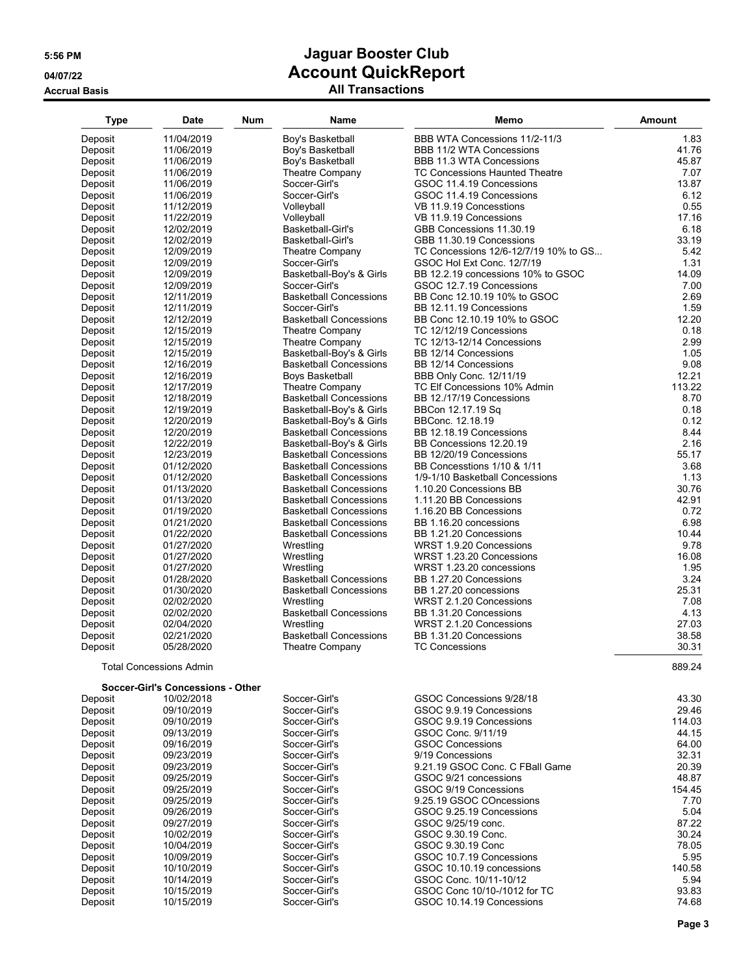| <b>Type</b>        | <b>Date</b>                                     | Num | Name                                           | Memo                                                    | Amount       |
|--------------------|-------------------------------------------------|-----|------------------------------------------------|---------------------------------------------------------|--------------|
| Deposit            | 11/04/2019                                      |     | Boy's Basketball                               | BBB WTA Concessions 11/2-11/3                           | 1.83         |
| Deposit            | 11/06/2019                                      |     | Boy's Basketball                               | BBB 11/2 WTA Concessions                                | 41.76        |
| Deposit            | 11/06/2019                                      |     | Boy's Basketball                               | <b>BBB 11.3 WTA Concessions</b>                         | 45.87        |
| Deposit            | 11/06/2019                                      |     | <b>Theatre Company</b>                         | <b>TC Concessions Haunted Theatre</b>                   | 7.07         |
| Deposit            | 11/06/2019                                      |     | Soccer-Girl's                                  | GSOC 11.4.19 Concessions                                | 13.87        |
| Deposit            | 11/06/2019                                      |     | Soccer-Girl's                                  | GSOC 11.4.19 Concessions                                | 6.12         |
| Deposit            | 11/12/2019                                      |     | Volleyball                                     | VB 11.9.19 Concesstions                                 | 0.55         |
| Deposit            | 11/22/2019                                      |     | Volleyball                                     | VB 11.9.19 Concessions                                  | 17.16        |
| Deposit            | 12/02/2019                                      |     | Basketball-Girl's                              | GBB Concessions 11.30.19                                | 6.18         |
| Deposit            | 12/02/2019                                      |     | Basketball-Girl's                              | GBB 11.30.19 Concessions                                | 33.19        |
| Deposit            | 12/09/2019                                      |     | Theatre Company                                | TC Concessions 12/6-12/7/19 10% to GS                   | 5.42         |
| Deposit            | 12/09/2019                                      |     | Soccer-Girl's                                  | GSOC Hol Ext Conc. 12/7/19                              | 1.31         |
| Deposit            | 12/09/2019                                      |     | Basketball-Boy's & Girls                       | BB 12.2.19 concessions 10% to GSOC                      | 14.09        |
| Deposit            | 12/09/2019                                      |     | Soccer-Girl's                                  | GSOC 12.7.19 Concessions                                | 7.00         |
| Deposit            | 12/11/2019                                      |     | <b>Basketball Concessions</b>                  | BB Conc 12.10.19 10% to GSOC                            | 2.69<br>1.59 |
| Deposit<br>Deposit | 12/11/2019<br>12/12/2019                        |     | Soccer-Girl's<br><b>Basketball Concessions</b> | BB 12.11.19 Concessions<br>BB Conc 12.10.19 10% to GSOC | 12.20        |
| Deposit            | 12/15/2019                                      |     | Theatre Company                                | TC 12/12/19 Concessions                                 | 0.18         |
| Deposit            | 12/15/2019                                      |     | Theatre Company                                | TC 12/13-12/14 Concessions                              | 2.99         |
| Deposit            | 12/15/2019                                      |     | Basketball-Boy's & Girls                       | BB 12/14 Concessions                                    | 1.05         |
| Deposit            | 12/16/2019                                      |     | <b>Basketball Concessions</b>                  | BB 12/14 Concessions                                    | 9.08         |
| Deposit            | 12/16/2019                                      |     | Boys Basketball                                | BBB Only Conc. 12/11/19                                 | 12.21        |
| Deposit            | 12/17/2019                                      |     | Theatre Company                                | TC Elf Concessions 10% Admin                            | 113.22       |
| Deposit            | 12/18/2019                                      |     | <b>Basketball Concessions</b>                  | BB 12./17/19 Concessions                                | 8.70         |
| Deposit            | 12/19/2019                                      |     | Basketball-Boy's & Girls                       | BBCon 12.17.19 Sq                                       | 0.18         |
| Deposit            | 12/20/2019                                      |     | Basketball-Boy's & Girls                       | BBConc. 12.18.19                                        | 0.12         |
| Deposit            | 12/20/2019                                      |     | <b>Basketball Concessions</b>                  | BB 12.18.19 Concessions                                 | 8.44         |
| Deposit            | 12/22/2019                                      |     | Basketball-Boy's & Girls                       | BB Concessions 12.20.19                                 | 2.16         |
| Deposit            | 12/23/2019                                      |     | <b>Basketball Concessions</b>                  | BB 12/20/19 Concessions                                 | 55.17        |
| Deposit            | 01/12/2020                                      |     | <b>Basketball Concessions</b>                  | BB Concesstions 1/10 & 1/11                             | 3.68         |
| Deposit            | 01/12/2020                                      |     | <b>Basketball Concessions</b>                  | 1/9-1/10 Basketball Concessions                         | 1.13         |
| Deposit            | 01/13/2020                                      |     | <b>Basketball Concessions</b>                  | 1.10.20 Concessions BB                                  | 30.76        |
| Deposit            | 01/13/2020                                      |     | <b>Basketball Concessions</b>                  | 1.11.20 BB Concessions                                  | 42.91        |
| Deposit            | 01/19/2020                                      |     | <b>Basketball Concessions</b>                  | 1.16.20 BB Concessions                                  | 0.72         |
| Deposit            | 01/21/2020                                      |     | <b>Basketball Concessions</b>                  | BB 1.16.20 concessions                                  | 6.98         |
| Deposit            | 01/22/2020                                      |     | <b>Basketball Concessions</b>                  | BB 1.21.20 Concessions                                  | 10.44        |
| Deposit            | 01/27/2020                                      |     | Wrestling                                      | WRST 1.9.20 Concessions                                 | 9.78         |
| Deposit            | 01/27/2020                                      |     | Wrestling                                      | WRST 1.23.20 Concessions                                | 16.08        |
| Deposit            | 01/27/2020<br>01/28/2020                        |     | Wrestling<br><b>Basketball Concessions</b>     | WRST 1.23.20 concessions<br>BB 1.27.20 Concessions      | 1.95<br>3.24 |
| Deposit            |                                                 |     | <b>Basketball Concessions</b>                  | BB 1.27.20 concessions                                  | 25.31        |
| Deposit<br>Deposit | 01/30/2020<br>02/02/2020                        |     | Wrestling                                      | WRST 2.1.20 Concessions                                 | 7.08         |
| Deposit            | 02/02/2020                                      |     | <b>Basketball Concessions</b>                  | BB 1.31.20 Concessions                                  | 4.13         |
| Deposit            | 02/04/2020                                      |     | Wrestling                                      | WRST 2.1.20 Concessions                                 | 27.03        |
| Deposit            | 02/21/2020                                      |     | <b>Basketball Concessions</b>                  | BB 1.31.20 Concessions                                  | 38.58        |
| Deposit            | 05/28/2020                                      |     | Theatre Company                                | <b>TC Concessions</b>                                   | 30.31        |
|                    | <b>Total Concessions Admin</b>                  |     |                                                |                                                         | 889.24       |
|                    |                                                 |     |                                                |                                                         |              |
| Deposit            | Soccer-Girl's Concessions - Other<br>10/02/2018 |     | Soccer-Girl's                                  | GSOC Concessions 9/28/18                                | 43.30        |
| Deposit            | 09/10/2019                                      |     | Soccer-Girl's                                  | GSOC 9.9.19 Concessions                                 | 29.46        |
| Deposit            | 09/10/2019                                      |     | Soccer-Girl's                                  | GSOC 9.9.19 Concessions                                 | 114.03       |
| Deposit            | 09/13/2019                                      |     | Soccer-Girl's                                  | GSOC Conc. 9/11/19                                      | 44.15        |
| Deposit            | 09/16/2019                                      |     | Soccer-Girl's                                  | <b>GSOC Concessions</b>                                 | 64.00        |
| Deposit            | 09/23/2019                                      |     | Soccer-Girl's                                  | 9/19 Concessions                                        | 32.31        |
| Deposit            | 09/23/2019                                      |     | Soccer-Girl's                                  | 9.21.19 GSOC Conc. C FBall Game                         | 20.39        |
| Deposit            | 09/25/2019                                      |     | Soccer-Girl's                                  | GSOC 9/21 concessions                                   | 48.87        |
| Deposit            | 09/25/2019                                      |     | Soccer-Girl's                                  | GSOC 9/19 Concessions                                   | 154.45       |
| Deposit            | 09/25/2019                                      |     | Soccer-Girl's                                  | 9.25.19 GSOC COncessions                                | 7.70         |
| Deposit            | 09/26/2019                                      |     | Soccer-Girl's                                  | GSOC 9.25.19 Concessions                                | 5.04         |
| Deposit            | 09/27/2019                                      |     | Soccer-Girl's                                  | GSOC 9/25/19 conc.                                      | 87.22        |
| Deposit            | 10/02/2019                                      |     | Soccer-Girl's                                  | GSOC 9.30.19 Conc.                                      | 30.24        |
| Deposit            | 10/04/2019                                      |     | Soccer-Girl's                                  | GSOC 9.30.19 Conc                                       | 78.05        |
| Deposit            | 10/09/2019                                      |     | Soccer-Girl's                                  | GSOC 10.7.19 Concessions                                | 5.95         |
| Deposit            | 10/10/2019                                      |     | Soccer-Girl's                                  | GSOC 10.10.19 concessions                               | 140.58       |
| Deposit            | 10/14/2019                                      |     | Soccer-Girl's                                  | GSOC Conc. 10/11-10/12                                  | 5.94         |
| Deposit            | 10/15/2019                                      |     | Soccer-Girl's                                  | GSOC Conc 10/10-/1012 for TC                            | 93.83        |
| Deposit            | 10/15/2019                                      |     | Soccer-Girl's                                  | GSOC 10.14.19 Concessions                               | 74.68        |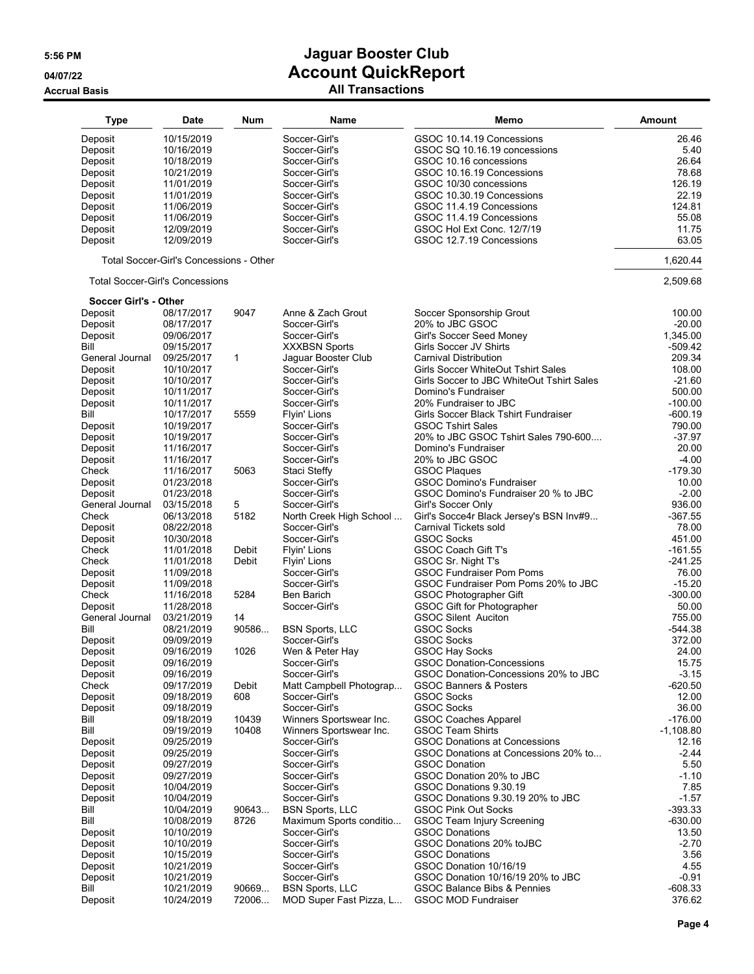| Deposit<br>10/15/2019<br>Soccer-Girl's<br>GSOC 10.14.19 Concessions<br>26.46<br>Deposit<br>10/16/2019<br>Soccer-Girl's<br>GSOC SQ 10.16.19 concessions<br>5.40<br>26.64<br>Deposit<br>10/18/2019<br>Soccer-Girl's<br>GSOC 10.16 concessions<br>78.68<br>Deposit<br>Soccer-Girl's<br>GSOC 10.16.19 Concessions<br>10/21/2019<br>Deposit<br>126.19<br>11/01/2019<br>Soccer-Girl's<br>GSOC 10/30 concessions<br>22.19<br>Deposit<br>Soccer-Girl's<br>GSOC 10.30.19 Concessions<br>11/01/2019<br>Deposit<br>Soccer-Girl's<br>GSOC 11.4.19 Concessions<br>124.81<br>11/06/2019<br>Deposit<br>11/06/2019<br>Soccer-Girl's<br>GSOC 11.4.19 Concessions<br>55.08<br>Deposit<br>12/09/2019<br>Soccer-Girl's<br>GSOC Hol Ext Conc. 12/7/19<br>11.75<br>63.05<br>Deposit<br>12/09/2019<br>Soccer-Girl's<br>GSOC 12.7.19 Concessions<br>1,620.44<br>Total Soccer-Girl's Concessions - Other<br><b>Total Soccer-Girl's Concessions</b><br>2,509.68<br>Soccer Girl's - Other<br>08/17/2017<br>9047<br>Anne & Zach Grout<br>Soccer Sponsorship Grout<br>100.00<br>Deposit<br>Deposit<br>Soccer-Girl's<br>20% to JBC GSOC<br>$-20.00$<br>08/17/2017<br>Soccer-Girl's<br>1,345.00<br>Deposit<br>09/06/2017<br>Girl's Soccer Seed Money<br>Bill<br>09/15/2017<br><b>XXXBSN Sports</b><br>Girls Soccer JV Shirts<br>$-509.42$<br>209.34<br>General Journal<br>$\mathbf{1}$<br>Jaguar Booster Club<br><b>Carnival Distribution</b><br>09/25/2017<br>Deposit<br>Soccer-Girl's<br>Girls Soccer WhiteOut Tshirt Sales<br>108.00<br>10/10/2017<br>$-21.60$<br>Deposit<br>10/10/2017<br>Soccer-Girl's<br>Girls Soccer to JBC WhiteOut Tshirt Sales<br>500.00<br>Deposit<br>10/11/2017<br>Soccer-Girl's<br>Domino's Fundraiser<br>$-100.00$<br>Deposit<br>Soccer-Girl's<br>20% Fundraiser to JBC<br>10/11/2017<br>Bill<br>$-600.19$<br>10/17/2017<br>5559<br>Flyin' Lions<br>Girls Soccer Black Tshirt Fundraiser<br>790.00<br>10/19/2017<br>Soccer-Girl's<br><b>GSOC Tshirt Sales</b><br>Deposit<br>Deposit<br>Soccer-Girl's<br>20% to JBC GSOC Tshirt Sales 790-600<br>$-37.97$<br>10/19/2017<br>Deposit<br>11/16/2017<br>Soccer-Girl's<br>Domino's Fundraiser<br>20.00<br>$-4.00$<br>Deposit<br>Soccer-Girl's<br>20% to JBC GSOC<br>11/16/2017<br>$-179.30$<br>Check<br>11/16/2017<br>5063<br>Staci Steffy<br><b>GSOC Plaques</b><br><b>GSOC Domino's Fundraiser</b><br>Deposit<br>01/23/2018<br>Soccer-Girl's<br>10.00<br>$-2.00$<br>Deposit<br>01/23/2018<br>Soccer-Girl's<br>GSOC Domino's Fundraiser 20 % to JBC<br>5<br>General Journal<br>Girl's Soccer Only<br>936.00<br>03/15/2018<br>Soccer-Girl's<br>5182<br>Check<br>North Creek High School<br>Girl's Socce4r Black Jersey's BSN Inv#9<br>$-367.55$<br>06/13/2018<br>Soccer-Girl's<br>Carnival Tickets sold<br>78.00<br>Deposit<br>08/22/2018<br>Deposit<br>10/30/2018<br>Soccer-Girl's<br><b>GSOC Socks</b><br>451.00<br>Check<br>Debit<br>Flyin' Lions<br>GSOC Coach Gift T's<br>$-161.55$<br>11/01/2018<br>Check<br>11/01/2018<br>Debit<br>Flyin' Lions<br>GSOC Sr. Night T's<br>$-241.25$<br><b>GSOC Fundraiser Pom Poms</b><br>11/09/2018<br>Soccer-Girl's<br>76.00<br>Deposit<br>GSOC Fundraiser Pom Poms 20% to JBC<br>$-15.20$<br>Deposit<br>11/09/2018<br>Soccer-Girl's<br>5284<br>$-300.00$<br>Check<br>11/16/2018<br>Ben Barich<br>GSOC Photographer Gift<br>Deposit<br>11/28/2018<br>Soccer-Girl's<br><b>GSOC Gift for Photographer</b><br>50.00<br><b>GSOC Silent Auciton</b><br>General Journal<br>14<br>755.00<br>03/21/2019<br>Bill<br>90586<br><b>GSOC Socks</b><br>08/21/2019<br><b>BSN Sports, LLC</b><br>$-544.38$<br>Soccer-Girl's<br><b>GSOC Socks</b><br>372.00<br>Deposit<br>09/09/2019<br>1026<br>Wen & Peter Hay<br><b>GSOC Hay Socks</b><br>24.00<br>Deposit<br>09/16/2019<br>Deposit<br>09/16/2019<br>Soccer-Girl's<br>GSOC Donation-Concessions<br>Deposit<br>09/16/2019<br>Soccer-Girl's<br>GSOC Donation-Concessions 20% to JBC<br>Check<br><b>GSOC Banners &amp; Posters</b><br>09/17/2019<br>Debit<br>Matt Campbell Photograp<br>608<br><b>GSOC Socks</b><br>Deposit<br>09/18/2019<br>Soccer-Girl's<br>Deposit<br>Soccer-Girl's<br><b>GSOC Socks</b><br>09/18/2019<br>10439<br>Winners Sportswear Inc.<br><b>GSOC Coaches Apparel</b><br>Bill<br>09/18/2019<br>Bill<br>10408<br>Winners Sportswear Inc.<br><b>GSOC Team Shirts</b><br>09/19/2019<br>Soccer-Girl's<br><b>GSOC Donations at Concessions</b><br>Deposit<br>09/25/2019<br>Deposit<br>09/25/2019<br>Soccer-Girl's<br>GSOC Donations at Concessions 20% to<br>$-2.44$<br>Deposit<br>Soccer-Girl's<br><b>GSOC Donation</b><br>09/27/2019<br>Deposit<br>Soccer-Girl's<br>GSOC Donation 20% to JBC<br>09/27/2019<br>Deposit<br>Soccer-Girl's<br>GSOC Donations 9.30.19<br>10/04/2019<br>Deposit<br>Soccer-Girl's<br>GSOC Donations 9.30.19 20% to JBC<br>10/04/2019<br>Bill<br><b>BSN Sports, LLC</b><br><b>GSOC Pink Out Socks</b><br>10/04/2019<br>90643<br>Bill<br>8726<br>Maximum Sports conditio<br><b>GSOC Team Injury Screening</b><br>10/08/2019<br>Soccer-Girl's<br><b>GSOC Donations</b><br>Deposit<br>10/10/2019<br>GSOC Donations 20% toJBC<br>$-2.70$<br>Deposit<br>Soccer-Girl's<br>10/10/2019<br><b>GSOC Donations</b><br>Deposit<br>10/15/2019<br>Soccer-Girl's<br>Soccer-Girl's<br>GSOC Donation 10/16/19<br>Deposit<br>10/21/2019<br>Soccer-Girl's<br>GSOC Donation 10/16/19 20% to JBC<br>$-0.91$<br>Deposit<br>10/21/2019<br>Bill<br>90669<br><b>BSN Sports, LLC</b><br><b>GSOC Balance Bibs &amp; Pennies</b><br>10/21/2019<br>Deposit<br>MOD Super Fast Pizza, L<br><b>GSOC MOD Fundraiser</b><br>10/24/2019<br>72006 | <b>Type</b> | <b>Date</b> | <b>Num</b> | Name | Memo | <b>Amount</b> |
|--------------------------------------------------------------------------------------------------------------------------------------------------------------------------------------------------------------------------------------------------------------------------------------------------------------------------------------------------------------------------------------------------------------------------------------------------------------------------------------------------------------------------------------------------------------------------------------------------------------------------------------------------------------------------------------------------------------------------------------------------------------------------------------------------------------------------------------------------------------------------------------------------------------------------------------------------------------------------------------------------------------------------------------------------------------------------------------------------------------------------------------------------------------------------------------------------------------------------------------------------------------------------------------------------------------------------------------------------------------------------------------------------------------------------------------------------------------------------------------------------------------------------------------------------------------------------------------------------------------------------------------------------------------------------------------------------------------------------------------------------------------------------------------------------------------------------------------------------------------------------------------------------------------------------------------------------------------------------------------------------------------------------------------------------------------------------------------------------------------------------------------------------------------------------------------------------------------------------------------------------------------------------------------------------------------------------------------------------------------------------------------------------------------------------------------------------------------------------------------------------------------------------------------------------------------------------------------------------------------------------------------------------------------------------------------------------------------------------------------------------------------------------------------------------------------------------------------------------------------------------------------------------------------------------------------------------------------------------------------------------------------------------------------------------------------------------------------------------------------------------------------------------------------------------------------------------------------------------------------------------------------------------------------------------------------------------------------------------------------------------------------------------------------------------------------------------------------------------------------------------------------------------------------------------------------------------------------------------------------------------------------------------------------------------------------------------------------------------------------------------------------------------------------------------------------------------------------------------------------------------------------------------------------------------------------------------------------------------------------------------------------------------------------------------------------------------------------------------------------------------------------------------------------------------------------------------------------------------------------------------------------------------------------------------------------------------------------------------------------------------------------------------------------------------------------------------------------------------------------------------------------------------------------------------------------------------------------------------------------------------------------------------------------------------------------------------------------------------------------------------------------------------------------------------------------------------------------------------------------------------------------------------------------------------------------------------------------------------------------------------------------------------------------------------------------------------------------------------------------------------------------------------------------------------------------------------------------------------------------------------------------------------------------------------------------------------------------------------------------------------------------------------------------------------------------------------------------------------------------------------------------------------------------------------------------------------|-------------|-------------|------------|------|------|---------------|
|                                                                                                                                                                                                                                                                                                                                                                                                                                                                                                                                                                                                                                                                                                                                                                                                                                                                                                                                                                                                                                                                                                                                                                                                                                                                                                                                                                                                                                                                                                                                                                                                                                                                                                                                                                                                                                                                                                                                                                                                                                                                                                                                                                                                                                                                                                                                                                                                                                                                                                                                                                                                                                                                                                                                                                                                                                                                                                                                                                                                                                                                                                                                                                                                                                                                                                                                                                                                                                                                                                                                                                                                                                                                                                                                                                                                                                                                                                                                                                                                                                                                                                                                                                                                                                                                                                                                                                                                                                                                                                                                                                                                                                                                                                                                                                                                                                                                                                                                                                                                                                                                                                                                                                                                                                                                                                                                                                                                                                                                                                                                                                          |             |             |            |      |      |               |
|                                                                                                                                                                                                                                                                                                                                                                                                                                                                                                                                                                                                                                                                                                                                                                                                                                                                                                                                                                                                                                                                                                                                                                                                                                                                                                                                                                                                                                                                                                                                                                                                                                                                                                                                                                                                                                                                                                                                                                                                                                                                                                                                                                                                                                                                                                                                                                                                                                                                                                                                                                                                                                                                                                                                                                                                                                                                                                                                                                                                                                                                                                                                                                                                                                                                                                                                                                                                                                                                                                                                                                                                                                                                                                                                                                                                                                                                                                                                                                                                                                                                                                                                                                                                                                                                                                                                                                                                                                                                                                                                                                                                                                                                                                                                                                                                                                                                                                                                                                                                                                                                                                                                                                                                                                                                                                                                                                                                                                                                                                                                                                          |             |             |            |      |      |               |
|                                                                                                                                                                                                                                                                                                                                                                                                                                                                                                                                                                                                                                                                                                                                                                                                                                                                                                                                                                                                                                                                                                                                                                                                                                                                                                                                                                                                                                                                                                                                                                                                                                                                                                                                                                                                                                                                                                                                                                                                                                                                                                                                                                                                                                                                                                                                                                                                                                                                                                                                                                                                                                                                                                                                                                                                                                                                                                                                                                                                                                                                                                                                                                                                                                                                                                                                                                                                                                                                                                                                                                                                                                                                                                                                                                                                                                                                                                                                                                                                                                                                                                                                                                                                                                                                                                                                                                                                                                                                                                                                                                                                                                                                                                                                                                                                                                                                                                                                                                                                                                                                                                                                                                                                                                                                                                                                                                                                                                                                                                                                                                          |             |             |            |      |      |               |
|                                                                                                                                                                                                                                                                                                                                                                                                                                                                                                                                                                                                                                                                                                                                                                                                                                                                                                                                                                                                                                                                                                                                                                                                                                                                                                                                                                                                                                                                                                                                                                                                                                                                                                                                                                                                                                                                                                                                                                                                                                                                                                                                                                                                                                                                                                                                                                                                                                                                                                                                                                                                                                                                                                                                                                                                                                                                                                                                                                                                                                                                                                                                                                                                                                                                                                                                                                                                                                                                                                                                                                                                                                                                                                                                                                                                                                                                                                                                                                                                                                                                                                                                                                                                                                                                                                                                                                                                                                                                                                                                                                                                                                                                                                                                                                                                                                                                                                                                                                                                                                                                                                                                                                                                                                                                                                                                                                                                                                                                                                                                                                          |             |             |            |      |      |               |
|                                                                                                                                                                                                                                                                                                                                                                                                                                                                                                                                                                                                                                                                                                                                                                                                                                                                                                                                                                                                                                                                                                                                                                                                                                                                                                                                                                                                                                                                                                                                                                                                                                                                                                                                                                                                                                                                                                                                                                                                                                                                                                                                                                                                                                                                                                                                                                                                                                                                                                                                                                                                                                                                                                                                                                                                                                                                                                                                                                                                                                                                                                                                                                                                                                                                                                                                                                                                                                                                                                                                                                                                                                                                                                                                                                                                                                                                                                                                                                                                                                                                                                                                                                                                                                                                                                                                                                                                                                                                                                                                                                                                                                                                                                                                                                                                                                                                                                                                                                                                                                                                                                                                                                                                                                                                                                                                                                                                                                                                                                                                                                          |             |             |            |      |      |               |
|                                                                                                                                                                                                                                                                                                                                                                                                                                                                                                                                                                                                                                                                                                                                                                                                                                                                                                                                                                                                                                                                                                                                                                                                                                                                                                                                                                                                                                                                                                                                                                                                                                                                                                                                                                                                                                                                                                                                                                                                                                                                                                                                                                                                                                                                                                                                                                                                                                                                                                                                                                                                                                                                                                                                                                                                                                                                                                                                                                                                                                                                                                                                                                                                                                                                                                                                                                                                                                                                                                                                                                                                                                                                                                                                                                                                                                                                                                                                                                                                                                                                                                                                                                                                                                                                                                                                                                                                                                                                                                                                                                                                                                                                                                                                                                                                                                                                                                                                                                                                                                                                                                                                                                                                                                                                                                                                                                                                                                                                                                                                                                          |             |             |            |      |      |               |
|                                                                                                                                                                                                                                                                                                                                                                                                                                                                                                                                                                                                                                                                                                                                                                                                                                                                                                                                                                                                                                                                                                                                                                                                                                                                                                                                                                                                                                                                                                                                                                                                                                                                                                                                                                                                                                                                                                                                                                                                                                                                                                                                                                                                                                                                                                                                                                                                                                                                                                                                                                                                                                                                                                                                                                                                                                                                                                                                                                                                                                                                                                                                                                                                                                                                                                                                                                                                                                                                                                                                                                                                                                                                                                                                                                                                                                                                                                                                                                                                                                                                                                                                                                                                                                                                                                                                                                                                                                                                                                                                                                                                                                                                                                                                                                                                                                                                                                                                                                                                                                                                                                                                                                                                                                                                                                                                                                                                                                                                                                                                                                          |             |             |            |      |      |               |
|                                                                                                                                                                                                                                                                                                                                                                                                                                                                                                                                                                                                                                                                                                                                                                                                                                                                                                                                                                                                                                                                                                                                                                                                                                                                                                                                                                                                                                                                                                                                                                                                                                                                                                                                                                                                                                                                                                                                                                                                                                                                                                                                                                                                                                                                                                                                                                                                                                                                                                                                                                                                                                                                                                                                                                                                                                                                                                                                                                                                                                                                                                                                                                                                                                                                                                                                                                                                                                                                                                                                                                                                                                                                                                                                                                                                                                                                                                                                                                                                                                                                                                                                                                                                                                                                                                                                                                                                                                                                                                                                                                                                                                                                                                                                                                                                                                                                                                                                                                                                                                                                                                                                                                                                                                                                                                                                                                                                                                                                                                                                                                          |             |             |            |      |      |               |
|                                                                                                                                                                                                                                                                                                                                                                                                                                                                                                                                                                                                                                                                                                                                                                                                                                                                                                                                                                                                                                                                                                                                                                                                                                                                                                                                                                                                                                                                                                                                                                                                                                                                                                                                                                                                                                                                                                                                                                                                                                                                                                                                                                                                                                                                                                                                                                                                                                                                                                                                                                                                                                                                                                                                                                                                                                                                                                                                                                                                                                                                                                                                                                                                                                                                                                                                                                                                                                                                                                                                                                                                                                                                                                                                                                                                                                                                                                                                                                                                                                                                                                                                                                                                                                                                                                                                                                                                                                                                                                                                                                                                                                                                                                                                                                                                                                                                                                                                                                                                                                                                                                                                                                                                                                                                                                                                                                                                                                                                                                                                                                          |             |             |            |      |      |               |
|                                                                                                                                                                                                                                                                                                                                                                                                                                                                                                                                                                                                                                                                                                                                                                                                                                                                                                                                                                                                                                                                                                                                                                                                                                                                                                                                                                                                                                                                                                                                                                                                                                                                                                                                                                                                                                                                                                                                                                                                                                                                                                                                                                                                                                                                                                                                                                                                                                                                                                                                                                                                                                                                                                                                                                                                                                                                                                                                                                                                                                                                                                                                                                                                                                                                                                                                                                                                                                                                                                                                                                                                                                                                                                                                                                                                                                                                                                                                                                                                                                                                                                                                                                                                                                                                                                                                                                                                                                                                                                                                                                                                                                                                                                                                                                                                                                                                                                                                                                                                                                                                                                                                                                                                                                                                                                                                                                                                                                                                                                                                                                          |             |             |            |      |      |               |
|                                                                                                                                                                                                                                                                                                                                                                                                                                                                                                                                                                                                                                                                                                                                                                                                                                                                                                                                                                                                                                                                                                                                                                                                                                                                                                                                                                                                                                                                                                                                                                                                                                                                                                                                                                                                                                                                                                                                                                                                                                                                                                                                                                                                                                                                                                                                                                                                                                                                                                                                                                                                                                                                                                                                                                                                                                                                                                                                                                                                                                                                                                                                                                                                                                                                                                                                                                                                                                                                                                                                                                                                                                                                                                                                                                                                                                                                                                                                                                                                                                                                                                                                                                                                                                                                                                                                                                                                                                                                                                                                                                                                                                                                                                                                                                                                                                                                                                                                                                                                                                                                                                                                                                                                                                                                                                                                                                                                                                                                                                                                                                          |             |             |            |      |      |               |
|                                                                                                                                                                                                                                                                                                                                                                                                                                                                                                                                                                                                                                                                                                                                                                                                                                                                                                                                                                                                                                                                                                                                                                                                                                                                                                                                                                                                                                                                                                                                                                                                                                                                                                                                                                                                                                                                                                                                                                                                                                                                                                                                                                                                                                                                                                                                                                                                                                                                                                                                                                                                                                                                                                                                                                                                                                                                                                                                                                                                                                                                                                                                                                                                                                                                                                                                                                                                                                                                                                                                                                                                                                                                                                                                                                                                                                                                                                                                                                                                                                                                                                                                                                                                                                                                                                                                                                                                                                                                                                                                                                                                                                                                                                                                                                                                                                                                                                                                                                                                                                                                                                                                                                                                                                                                                                                                                                                                                                                                                                                                                                          |             |             |            |      |      |               |
|                                                                                                                                                                                                                                                                                                                                                                                                                                                                                                                                                                                                                                                                                                                                                                                                                                                                                                                                                                                                                                                                                                                                                                                                                                                                                                                                                                                                                                                                                                                                                                                                                                                                                                                                                                                                                                                                                                                                                                                                                                                                                                                                                                                                                                                                                                                                                                                                                                                                                                                                                                                                                                                                                                                                                                                                                                                                                                                                                                                                                                                                                                                                                                                                                                                                                                                                                                                                                                                                                                                                                                                                                                                                                                                                                                                                                                                                                                                                                                                                                                                                                                                                                                                                                                                                                                                                                                                                                                                                                                                                                                                                                                                                                                                                                                                                                                                                                                                                                                                                                                                                                                                                                                                                                                                                                                                                                                                                                                                                                                                                                                          |             |             |            |      |      |               |
|                                                                                                                                                                                                                                                                                                                                                                                                                                                                                                                                                                                                                                                                                                                                                                                                                                                                                                                                                                                                                                                                                                                                                                                                                                                                                                                                                                                                                                                                                                                                                                                                                                                                                                                                                                                                                                                                                                                                                                                                                                                                                                                                                                                                                                                                                                                                                                                                                                                                                                                                                                                                                                                                                                                                                                                                                                                                                                                                                                                                                                                                                                                                                                                                                                                                                                                                                                                                                                                                                                                                                                                                                                                                                                                                                                                                                                                                                                                                                                                                                                                                                                                                                                                                                                                                                                                                                                                                                                                                                                                                                                                                                                                                                                                                                                                                                                                                                                                                                                                                                                                                                                                                                                                                                                                                                                                                                                                                                                                                                                                                                                          |             |             |            |      |      |               |
|                                                                                                                                                                                                                                                                                                                                                                                                                                                                                                                                                                                                                                                                                                                                                                                                                                                                                                                                                                                                                                                                                                                                                                                                                                                                                                                                                                                                                                                                                                                                                                                                                                                                                                                                                                                                                                                                                                                                                                                                                                                                                                                                                                                                                                                                                                                                                                                                                                                                                                                                                                                                                                                                                                                                                                                                                                                                                                                                                                                                                                                                                                                                                                                                                                                                                                                                                                                                                                                                                                                                                                                                                                                                                                                                                                                                                                                                                                                                                                                                                                                                                                                                                                                                                                                                                                                                                                                                                                                                                                                                                                                                                                                                                                                                                                                                                                                                                                                                                                                                                                                                                                                                                                                                                                                                                                                                                                                                                                                                                                                                                                          |             |             |            |      |      |               |
|                                                                                                                                                                                                                                                                                                                                                                                                                                                                                                                                                                                                                                                                                                                                                                                                                                                                                                                                                                                                                                                                                                                                                                                                                                                                                                                                                                                                                                                                                                                                                                                                                                                                                                                                                                                                                                                                                                                                                                                                                                                                                                                                                                                                                                                                                                                                                                                                                                                                                                                                                                                                                                                                                                                                                                                                                                                                                                                                                                                                                                                                                                                                                                                                                                                                                                                                                                                                                                                                                                                                                                                                                                                                                                                                                                                                                                                                                                                                                                                                                                                                                                                                                                                                                                                                                                                                                                                                                                                                                                                                                                                                                                                                                                                                                                                                                                                                                                                                                                                                                                                                                                                                                                                                                                                                                                                                                                                                                                                                                                                                                                          |             |             |            |      |      |               |
|                                                                                                                                                                                                                                                                                                                                                                                                                                                                                                                                                                                                                                                                                                                                                                                                                                                                                                                                                                                                                                                                                                                                                                                                                                                                                                                                                                                                                                                                                                                                                                                                                                                                                                                                                                                                                                                                                                                                                                                                                                                                                                                                                                                                                                                                                                                                                                                                                                                                                                                                                                                                                                                                                                                                                                                                                                                                                                                                                                                                                                                                                                                                                                                                                                                                                                                                                                                                                                                                                                                                                                                                                                                                                                                                                                                                                                                                                                                                                                                                                                                                                                                                                                                                                                                                                                                                                                                                                                                                                                                                                                                                                                                                                                                                                                                                                                                                                                                                                                                                                                                                                                                                                                                                                                                                                                                                                                                                                                                                                                                                                                          |             |             |            |      |      |               |
|                                                                                                                                                                                                                                                                                                                                                                                                                                                                                                                                                                                                                                                                                                                                                                                                                                                                                                                                                                                                                                                                                                                                                                                                                                                                                                                                                                                                                                                                                                                                                                                                                                                                                                                                                                                                                                                                                                                                                                                                                                                                                                                                                                                                                                                                                                                                                                                                                                                                                                                                                                                                                                                                                                                                                                                                                                                                                                                                                                                                                                                                                                                                                                                                                                                                                                                                                                                                                                                                                                                                                                                                                                                                                                                                                                                                                                                                                                                                                                                                                                                                                                                                                                                                                                                                                                                                                                                                                                                                                                                                                                                                                                                                                                                                                                                                                                                                                                                                                                                                                                                                                                                                                                                                                                                                                                                                                                                                                                                                                                                                                                          |             |             |            |      |      |               |
|                                                                                                                                                                                                                                                                                                                                                                                                                                                                                                                                                                                                                                                                                                                                                                                                                                                                                                                                                                                                                                                                                                                                                                                                                                                                                                                                                                                                                                                                                                                                                                                                                                                                                                                                                                                                                                                                                                                                                                                                                                                                                                                                                                                                                                                                                                                                                                                                                                                                                                                                                                                                                                                                                                                                                                                                                                                                                                                                                                                                                                                                                                                                                                                                                                                                                                                                                                                                                                                                                                                                                                                                                                                                                                                                                                                                                                                                                                                                                                                                                                                                                                                                                                                                                                                                                                                                                                                                                                                                                                                                                                                                                                                                                                                                                                                                                                                                                                                                                                                                                                                                                                                                                                                                                                                                                                                                                                                                                                                                                                                                                                          |             |             |            |      |      |               |
|                                                                                                                                                                                                                                                                                                                                                                                                                                                                                                                                                                                                                                                                                                                                                                                                                                                                                                                                                                                                                                                                                                                                                                                                                                                                                                                                                                                                                                                                                                                                                                                                                                                                                                                                                                                                                                                                                                                                                                                                                                                                                                                                                                                                                                                                                                                                                                                                                                                                                                                                                                                                                                                                                                                                                                                                                                                                                                                                                                                                                                                                                                                                                                                                                                                                                                                                                                                                                                                                                                                                                                                                                                                                                                                                                                                                                                                                                                                                                                                                                                                                                                                                                                                                                                                                                                                                                                                                                                                                                                                                                                                                                                                                                                                                                                                                                                                                                                                                                                                                                                                                                                                                                                                                                                                                                                                                                                                                                                                                                                                                                                          |             |             |            |      |      |               |
|                                                                                                                                                                                                                                                                                                                                                                                                                                                                                                                                                                                                                                                                                                                                                                                                                                                                                                                                                                                                                                                                                                                                                                                                                                                                                                                                                                                                                                                                                                                                                                                                                                                                                                                                                                                                                                                                                                                                                                                                                                                                                                                                                                                                                                                                                                                                                                                                                                                                                                                                                                                                                                                                                                                                                                                                                                                                                                                                                                                                                                                                                                                                                                                                                                                                                                                                                                                                                                                                                                                                                                                                                                                                                                                                                                                                                                                                                                                                                                                                                                                                                                                                                                                                                                                                                                                                                                                                                                                                                                                                                                                                                                                                                                                                                                                                                                                                                                                                                                                                                                                                                                                                                                                                                                                                                                                                                                                                                                                                                                                                                                          |             |             |            |      |      |               |
|                                                                                                                                                                                                                                                                                                                                                                                                                                                                                                                                                                                                                                                                                                                                                                                                                                                                                                                                                                                                                                                                                                                                                                                                                                                                                                                                                                                                                                                                                                                                                                                                                                                                                                                                                                                                                                                                                                                                                                                                                                                                                                                                                                                                                                                                                                                                                                                                                                                                                                                                                                                                                                                                                                                                                                                                                                                                                                                                                                                                                                                                                                                                                                                                                                                                                                                                                                                                                                                                                                                                                                                                                                                                                                                                                                                                                                                                                                                                                                                                                                                                                                                                                                                                                                                                                                                                                                                                                                                                                                                                                                                                                                                                                                                                                                                                                                                                                                                                                                                                                                                                                                                                                                                                                                                                                                                                                                                                                                                                                                                                                                          |             |             |            |      |      |               |
|                                                                                                                                                                                                                                                                                                                                                                                                                                                                                                                                                                                                                                                                                                                                                                                                                                                                                                                                                                                                                                                                                                                                                                                                                                                                                                                                                                                                                                                                                                                                                                                                                                                                                                                                                                                                                                                                                                                                                                                                                                                                                                                                                                                                                                                                                                                                                                                                                                                                                                                                                                                                                                                                                                                                                                                                                                                                                                                                                                                                                                                                                                                                                                                                                                                                                                                                                                                                                                                                                                                                                                                                                                                                                                                                                                                                                                                                                                                                                                                                                                                                                                                                                                                                                                                                                                                                                                                                                                                                                                                                                                                                                                                                                                                                                                                                                                                                                                                                                                                                                                                                                                                                                                                                                                                                                                                                                                                                                                                                                                                                                                          |             |             |            |      |      |               |
|                                                                                                                                                                                                                                                                                                                                                                                                                                                                                                                                                                                                                                                                                                                                                                                                                                                                                                                                                                                                                                                                                                                                                                                                                                                                                                                                                                                                                                                                                                                                                                                                                                                                                                                                                                                                                                                                                                                                                                                                                                                                                                                                                                                                                                                                                                                                                                                                                                                                                                                                                                                                                                                                                                                                                                                                                                                                                                                                                                                                                                                                                                                                                                                                                                                                                                                                                                                                                                                                                                                                                                                                                                                                                                                                                                                                                                                                                                                                                                                                                                                                                                                                                                                                                                                                                                                                                                                                                                                                                                                                                                                                                                                                                                                                                                                                                                                                                                                                                                                                                                                                                                                                                                                                                                                                                                                                                                                                                                                                                                                                                                          |             |             |            |      |      |               |
|                                                                                                                                                                                                                                                                                                                                                                                                                                                                                                                                                                                                                                                                                                                                                                                                                                                                                                                                                                                                                                                                                                                                                                                                                                                                                                                                                                                                                                                                                                                                                                                                                                                                                                                                                                                                                                                                                                                                                                                                                                                                                                                                                                                                                                                                                                                                                                                                                                                                                                                                                                                                                                                                                                                                                                                                                                                                                                                                                                                                                                                                                                                                                                                                                                                                                                                                                                                                                                                                                                                                                                                                                                                                                                                                                                                                                                                                                                                                                                                                                                                                                                                                                                                                                                                                                                                                                                                                                                                                                                                                                                                                                                                                                                                                                                                                                                                                                                                                                                                                                                                                                                                                                                                                                                                                                                                                                                                                                                                                                                                                                                          |             |             |            |      |      |               |
|                                                                                                                                                                                                                                                                                                                                                                                                                                                                                                                                                                                                                                                                                                                                                                                                                                                                                                                                                                                                                                                                                                                                                                                                                                                                                                                                                                                                                                                                                                                                                                                                                                                                                                                                                                                                                                                                                                                                                                                                                                                                                                                                                                                                                                                                                                                                                                                                                                                                                                                                                                                                                                                                                                                                                                                                                                                                                                                                                                                                                                                                                                                                                                                                                                                                                                                                                                                                                                                                                                                                                                                                                                                                                                                                                                                                                                                                                                                                                                                                                                                                                                                                                                                                                                                                                                                                                                                                                                                                                                                                                                                                                                                                                                                                                                                                                                                                                                                                                                                                                                                                                                                                                                                                                                                                                                                                                                                                                                                                                                                                                                          |             |             |            |      |      |               |
|                                                                                                                                                                                                                                                                                                                                                                                                                                                                                                                                                                                                                                                                                                                                                                                                                                                                                                                                                                                                                                                                                                                                                                                                                                                                                                                                                                                                                                                                                                                                                                                                                                                                                                                                                                                                                                                                                                                                                                                                                                                                                                                                                                                                                                                                                                                                                                                                                                                                                                                                                                                                                                                                                                                                                                                                                                                                                                                                                                                                                                                                                                                                                                                                                                                                                                                                                                                                                                                                                                                                                                                                                                                                                                                                                                                                                                                                                                                                                                                                                                                                                                                                                                                                                                                                                                                                                                                                                                                                                                                                                                                                                                                                                                                                                                                                                                                                                                                                                                                                                                                                                                                                                                                                                                                                                                                                                                                                                                                                                                                                                                          |             |             |            |      |      |               |
| 15.75<br>$-3.15$<br>$-620.50$<br>12.00<br>36.00<br>$-176.00$<br>$-1,108.80$<br>12.16<br>5.50<br>$-1.10$<br>7.85<br>$-1.57$<br>$-393.33$<br>$-630.00$<br>13.50<br>3.56<br>4.55<br>$-608.33$<br>376.62                                                                                                                                                                                                                                                                                                                                                                                                                                                                                                                                                                                                                                                                                                                                                                                                                                                                                                                                                                                                                                                                                                                                                                                                                                                                                                                                                                                                                                                                                                                                                                                                                                                                                                                                                                                                                                                                                                                                                                                                                                                                                                                                                                                                                                                                                                                                                                                                                                                                                                                                                                                                                                                                                                                                                                                                                                                                                                                                                                                                                                                                                                                                                                                                                                                                                                                                                                                                                                                                                                                                                                                                                                                                                                                                                                                                                                                                                                                                                                                                                                                                                                                                                                                                                                                                                                                                                                                                                                                                                                                                                                                                                                                                                                                                                                                                                                                                                                                                                                                                                                                                                                                                                                                                                                                                                                                                                                     |             |             |            |      |      |               |
|                                                                                                                                                                                                                                                                                                                                                                                                                                                                                                                                                                                                                                                                                                                                                                                                                                                                                                                                                                                                                                                                                                                                                                                                                                                                                                                                                                                                                                                                                                                                                                                                                                                                                                                                                                                                                                                                                                                                                                                                                                                                                                                                                                                                                                                                                                                                                                                                                                                                                                                                                                                                                                                                                                                                                                                                                                                                                                                                                                                                                                                                                                                                                                                                                                                                                                                                                                                                                                                                                                                                                                                                                                                                                                                                                                                                                                                                                                                                                                                                                                                                                                                                                                                                                                                                                                                                                                                                                                                                                                                                                                                                                                                                                                                                                                                                                                                                                                                                                                                                                                                                                                                                                                                                                                                                                                                                                                                                                                                                                                                                                                          |             |             |            |      |      |               |
|                                                                                                                                                                                                                                                                                                                                                                                                                                                                                                                                                                                                                                                                                                                                                                                                                                                                                                                                                                                                                                                                                                                                                                                                                                                                                                                                                                                                                                                                                                                                                                                                                                                                                                                                                                                                                                                                                                                                                                                                                                                                                                                                                                                                                                                                                                                                                                                                                                                                                                                                                                                                                                                                                                                                                                                                                                                                                                                                                                                                                                                                                                                                                                                                                                                                                                                                                                                                                                                                                                                                                                                                                                                                                                                                                                                                                                                                                                                                                                                                                                                                                                                                                                                                                                                                                                                                                                                                                                                                                                                                                                                                                                                                                                                                                                                                                                                                                                                                                                                                                                                                                                                                                                                                                                                                                                                                                                                                                                                                                                                                                                          |             |             |            |      |      |               |
|                                                                                                                                                                                                                                                                                                                                                                                                                                                                                                                                                                                                                                                                                                                                                                                                                                                                                                                                                                                                                                                                                                                                                                                                                                                                                                                                                                                                                                                                                                                                                                                                                                                                                                                                                                                                                                                                                                                                                                                                                                                                                                                                                                                                                                                                                                                                                                                                                                                                                                                                                                                                                                                                                                                                                                                                                                                                                                                                                                                                                                                                                                                                                                                                                                                                                                                                                                                                                                                                                                                                                                                                                                                                                                                                                                                                                                                                                                                                                                                                                                                                                                                                                                                                                                                                                                                                                                                                                                                                                                                                                                                                                                                                                                                                                                                                                                                                                                                                                                                                                                                                                                                                                                                                                                                                                                                                                                                                                                                                                                                                                                          |             |             |            |      |      |               |
|                                                                                                                                                                                                                                                                                                                                                                                                                                                                                                                                                                                                                                                                                                                                                                                                                                                                                                                                                                                                                                                                                                                                                                                                                                                                                                                                                                                                                                                                                                                                                                                                                                                                                                                                                                                                                                                                                                                                                                                                                                                                                                                                                                                                                                                                                                                                                                                                                                                                                                                                                                                                                                                                                                                                                                                                                                                                                                                                                                                                                                                                                                                                                                                                                                                                                                                                                                                                                                                                                                                                                                                                                                                                                                                                                                                                                                                                                                                                                                                                                                                                                                                                                                                                                                                                                                                                                                                                                                                                                                                                                                                                                                                                                                                                                                                                                                                                                                                                                                                                                                                                                                                                                                                                                                                                                                                                                                                                                                                                                                                                                                          |             |             |            |      |      |               |
|                                                                                                                                                                                                                                                                                                                                                                                                                                                                                                                                                                                                                                                                                                                                                                                                                                                                                                                                                                                                                                                                                                                                                                                                                                                                                                                                                                                                                                                                                                                                                                                                                                                                                                                                                                                                                                                                                                                                                                                                                                                                                                                                                                                                                                                                                                                                                                                                                                                                                                                                                                                                                                                                                                                                                                                                                                                                                                                                                                                                                                                                                                                                                                                                                                                                                                                                                                                                                                                                                                                                                                                                                                                                                                                                                                                                                                                                                                                                                                                                                                                                                                                                                                                                                                                                                                                                                                                                                                                                                                                                                                                                                                                                                                                                                                                                                                                                                                                                                                                                                                                                                                                                                                                                                                                                                                                                                                                                                                                                                                                                                                          |             |             |            |      |      |               |
|                                                                                                                                                                                                                                                                                                                                                                                                                                                                                                                                                                                                                                                                                                                                                                                                                                                                                                                                                                                                                                                                                                                                                                                                                                                                                                                                                                                                                                                                                                                                                                                                                                                                                                                                                                                                                                                                                                                                                                                                                                                                                                                                                                                                                                                                                                                                                                                                                                                                                                                                                                                                                                                                                                                                                                                                                                                                                                                                                                                                                                                                                                                                                                                                                                                                                                                                                                                                                                                                                                                                                                                                                                                                                                                                                                                                                                                                                                                                                                                                                                                                                                                                                                                                                                                                                                                                                                                                                                                                                                                                                                                                                                                                                                                                                                                                                                                                                                                                                                                                                                                                                                                                                                                                                                                                                                                                                                                                                                                                                                                                                                          |             |             |            |      |      |               |
|                                                                                                                                                                                                                                                                                                                                                                                                                                                                                                                                                                                                                                                                                                                                                                                                                                                                                                                                                                                                                                                                                                                                                                                                                                                                                                                                                                                                                                                                                                                                                                                                                                                                                                                                                                                                                                                                                                                                                                                                                                                                                                                                                                                                                                                                                                                                                                                                                                                                                                                                                                                                                                                                                                                                                                                                                                                                                                                                                                                                                                                                                                                                                                                                                                                                                                                                                                                                                                                                                                                                                                                                                                                                                                                                                                                                                                                                                                                                                                                                                                                                                                                                                                                                                                                                                                                                                                                                                                                                                                                                                                                                                                                                                                                                                                                                                                                                                                                                                                                                                                                                                                                                                                                                                                                                                                                                                                                                                                                                                                                                                                          |             |             |            |      |      |               |
|                                                                                                                                                                                                                                                                                                                                                                                                                                                                                                                                                                                                                                                                                                                                                                                                                                                                                                                                                                                                                                                                                                                                                                                                                                                                                                                                                                                                                                                                                                                                                                                                                                                                                                                                                                                                                                                                                                                                                                                                                                                                                                                                                                                                                                                                                                                                                                                                                                                                                                                                                                                                                                                                                                                                                                                                                                                                                                                                                                                                                                                                                                                                                                                                                                                                                                                                                                                                                                                                                                                                                                                                                                                                                                                                                                                                                                                                                                                                                                                                                                                                                                                                                                                                                                                                                                                                                                                                                                                                                                                                                                                                                                                                                                                                                                                                                                                                                                                                                                                                                                                                                                                                                                                                                                                                                                                                                                                                                                                                                                                                                                          |             |             |            |      |      |               |
|                                                                                                                                                                                                                                                                                                                                                                                                                                                                                                                                                                                                                                                                                                                                                                                                                                                                                                                                                                                                                                                                                                                                                                                                                                                                                                                                                                                                                                                                                                                                                                                                                                                                                                                                                                                                                                                                                                                                                                                                                                                                                                                                                                                                                                                                                                                                                                                                                                                                                                                                                                                                                                                                                                                                                                                                                                                                                                                                                                                                                                                                                                                                                                                                                                                                                                                                                                                                                                                                                                                                                                                                                                                                                                                                                                                                                                                                                                                                                                                                                                                                                                                                                                                                                                                                                                                                                                                                                                                                                                                                                                                                                                                                                                                                                                                                                                                                                                                                                                                                                                                                                                                                                                                                                                                                                                                                                                                                                                                                                                                                                                          |             |             |            |      |      |               |
|                                                                                                                                                                                                                                                                                                                                                                                                                                                                                                                                                                                                                                                                                                                                                                                                                                                                                                                                                                                                                                                                                                                                                                                                                                                                                                                                                                                                                                                                                                                                                                                                                                                                                                                                                                                                                                                                                                                                                                                                                                                                                                                                                                                                                                                                                                                                                                                                                                                                                                                                                                                                                                                                                                                                                                                                                                                                                                                                                                                                                                                                                                                                                                                                                                                                                                                                                                                                                                                                                                                                                                                                                                                                                                                                                                                                                                                                                                                                                                                                                                                                                                                                                                                                                                                                                                                                                                                                                                                                                                                                                                                                                                                                                                                                                                                                                                                                                                                                                                                                                                                                                                                                                                                                                                                                                                                                                                                                                                                                                                                                                                          |             |             |            |      |      |               |
|                                                                                                                                                                                                                                                                                                                                                                                                                                                                                                                                                                                                                                                                                                                                                                                                                                                                                                                                                                                                                                                                                                                                                                                                                                                                                                                                                                                                                                                                                                                                                                                                                                                                                                                                                                                                                                                                                                                                                                                                                                                                                                                                                                                                                                                                                                                                                                                                                                                                                                                                                                                                                                                                                                                                                                                                                                                                                                                                                                                                                                                                                                                                                                                                                                                                                                                                                                                                                                                                                                                                                                                                                                                                                                                                                                                                                                                                                                                                                                                                                                                                                                                                                                                                                                                                                                                                                                                                                                                                                                                                                                                                                                                                                                                                                                                                                                                                                                                                                                                                                                                                                                                                                                                                                                                                                                                                                                                                                                                                                                                                                                          |             |             |            |      |      |               |
|                                                                                                                                                                                                                                                                                                                                                                                                                                                                                                                                                                                                                                                                                                                                                                                                                                                                                                                                                                                                                                                                                                                                                                                                                                                                                                                                                                                                                                                                                                                                                                                                                                                                                                                                                                                                                                                                                                                                                                                                                                                                                                                                                                                                                                                                                                                                                                                                                                                                                                                                                                                                                                                                                                                                                                                                                                                                                                                                                                                                                                                                                                                                                                                                                                                                                                                                                                                                                                                                                                                                                                                                                                                                                                                                                                                                                                                                                                                                                                                                                                                                                                                                                                                                                                                                                                                                                                                                                                                                                                                                                                                                                                                                                                                                                                                                                                                                                                                                                                                                                                                                                                                                                                                                                                                                                                                                                                                                                                                                                                                                                                          |             |             |            |      |      |               |
|                                                                                                                                                                                                                                                                                                                                                                                                                                                                                                                                                                                                                                                                                                                                                                                                                                                                                                                                                                                                                                                                                                                                                                                                                                                                                                                                                                                                                                                                                                                                                                                                                                                                                                                                                                                                                                                                                                                                                                                                                                                                                                                                                                                                                                                                                                                                                                                                                                                                                                                                                                                                                                                                                                                                                                                                                                                                                                                                                                                                                                                                                                                                                                                                                                                                                                                                                                                                                                                                                                                                                                                                                                                                                                                                                                                                                                                                                                                                                                                                                                                                                                                                                                                                                                                                                                                                                                                                                                                                                                                                                                                                                                                                                                                                                                                                                                                                                                                                                                                                                                                                                                                                                                                                                                                                                                                                                                                                                                                                                                                                                                          |             |             |            |      |      |               |
|                                                                                                                                                                                                                                                                                                                                                                                                                                                                                                                                                                                                                                                                                                                                                                                                                                                                                                                                                                                                                                                                                                                                                                                                                                                                                                                                                                                                                                                                                                                                                                                                                                                                                                                                                                                                                                                                                                                                                                                                                                                                                                                                                                                                                                                                                                                                                                                                                                                                                                                                                                                                                                                                                                                                                                                                                                                                                                                                                                                                                                                                                                                                                                                                                                                                                                                                                                                                                                                                                                                                                                                                                                                                                                                                                                                                                                                                                                                                                                                                                                                                                                                                                                                                                                                                                                                                                                                                                                                                                                                                                                                                                                                                                                                                                                                                                                                                                                                                                                                                                                                                                                                                                                                                                                                                                                                                                                                                                                                                                                                                                                          |             |             |            |      |      |               |
|                                                                                                                                                                                                                                                                                                                                                                                                                                                                                                                                                                                                                                                                                                                                                                                                                                                                                                                                                                                                                                                                                                                                                                                                                                                                                                                                                                                                                                                                                                                                                                                                                                                                                                                                                                                                                                                                                                                                                                                                                                                                                                                                                                                                                                                                                                                                                                                                                                                                                                                                                                                                                                                                                                                                                                                                                                                                                                                                                                                                                                                                                                                                                                                                                                                                                                                                                                                                                                                                                                                                                                                                                                                                                                                                                                                                                                                                                                                                                                                                                                                                                                                                                                                                                                                                                                                                                                                                                                                                                                                                                                                                                                                                                                                                                                                                                                                                                                                                                                                                                                                                                                                                                                                                                                                                                                                                                                                                                                                                                                                                                                          |             |             |            |      |      |               |
|                                                                                                                                                                                                                                                                                                                                                                                                                                                                                                                                                                                                                                                                                                                                                                                                                                                                                                                                                                                                                                                                                                                                                                                                                                                                                                                                                                                                                                                                                                                                                                                                                                                                                                                                                                                                                                                                                                                                                                                                                                                                                                                                                                                                                                                                                                                                                                                                                                                                                                                                                                                                                                                                                                                                                                                                                                                                                                                                                                                                                                                                                                                                                                                                                                                                                                                                                                                                                                                                                                                                                                                                                                                                                                                                                                                                                                                                                                                                                                                                                                                                                                                                                                                                                                                                                                                                                                                                                                                                                                                                                                                                                                                                                                                                                                                                                                                                                                                                                                                                                                                                                                                                                                                                                                                                                                                                                                                                                                                                                                                                                                          |             |             |            |      |      |               |
|                                                                                                                                                                                                                                                                                                                                                                                                                                                                                                                                                                                                                                                                                                                                                                                                                                                                                                                                                                                                                                                                                                                                                                                                                                                                                                                                                                                                                                                                                                                                                                                                                                                                                                                                                                                                                                                                                                                                                                                                                                                                                                                                                                                                                                                                                                                                                                                                                                                                                                                                                                                                                                                                                                                                                                                                                                                                                                                                                                                                                                                                                                                                                                                                                                                                                                                                                                                                                                                                                                                                                                                                                                                                                                                                                                                                                                                                                                                                                                                                                                                                                                                                                                                                                                                                                                                                                                                                                                                                                                                                                                                                                                                                                                                                                                                                                                                                                                                                                                                                                                                                                                                                                                                                                                                                                                                                                                                                                                                                                                                                                                          |             |             |            |      |      |               |
|                                                                                                                                                                                                                                                                                                                                                                                                                                                                                                                                                                                                                                                                                                                                                                                                                                                                                                                                                                                                                                                                                                                                                                                                                                                                                                                                                                                                                                                                                                                                                                                                                                                                                                                                                                                                                                                                                                                                                                                                                                                                                                                                                                                                                                                                                                                                                                                                                                                                                                                                                                                                                                                                                                                                                                                                                                                                                                                                                                                                                                                                                                                                                                                                                                                                                                                                                                                                                                                                                                                                                                                                                                                                                                                                                                                                                                                                                                                                                                                                                                                                                                                                                                                                                                                                                                                                                                                                                                                                                                                                                                                                                                                                                                                                                                                                                                                                                                                                                                                                                                                                                                                                                                                                                                                                                                                                                                                                                                                                                                                                                                          |             |             |            |      |      |               |
|                                                                                                                                                                                                                                                                                                                                                                                                                                                                                                                                                                                                                                                                                                                                                                                                                                                                                                                                                                                                                                                                                                                                                                                                                                                                                                                                                                                                                                                                                                                                                                                                                                                                                                                                                                                                                                                                                                                                                                                                                                                                                                                                                                                                                                                                                                                                                                                                                                                                                                                                                                                                                                                                                                                                                                                                                                                                                                                                                                                                                                                                                                                                                                                                                                                                                                                                                                                                                                                                                                                                                                                                                                                                                                                                                                                                                                                                                                                                                                                                                                                                                                                                                                                                                                                                                                                                                                                                                                                                                                                                                                                                                                                                                                                                                                                                                                                                                                                                                                                                                                                                                                                                                                                                                                                                                                                                                                                                                                                                                                                                                                          |             |             |            |      |      |               |
|                                                                                                                                                                                                                                                                                                                                                                                                                                                                                                                                                                                                                                                                                                                                                                                                                                                                                                                                                                                                                                                                                                                                                                                                                                                                                                                                                                                                                                                                                                                                                                                                                                                                                                                                                                                                                                                                                                                                                                                                                                                                                                                                                                                                                                                                                                                                                                                                                                                                                                                                                                                                                                                                                                                                                                                                                                                                                                                                                                                                                                                                                                                                                                                                                                                                                                                                                                                                                                                                                                                                                                                                                                                                                                                                                                                                                                                                                                                                                                                                                                                                                                                                                                                                                                                                                                                                                                                                                                                                                                                                                                                                                                                                                                                                                                                                                                                                                                                                                                                                                                                                                                                                                                                                                                                                                                                                                                                                                                                                                                                                                                          |             |             |            |      |      |               |
|                                                                                                                                                                                                                                                                                                                                                                                                                                                                                                                                                                                                                                                                                                                                                                                                                                                                                                                                                                                                                                                                                                                                                                                                                                                                                                                                                                                                                                                                                                                                                                                                                                                                                                                                                                                                                                                                                                                                                                                                                                                                                                                                                                                                                                                                                                                                                                                                                                                                                                                                                                                                                                                                                                                                                                                                                                                                                                                                                                                                                                                                                                                                                                                                                                                                                                                                                                                                                                                                                                                                                                                                                                                                                                                                                                                                                                                                                                                                                                                                                                                                                                                                                                                                                                                                                                                                                                                                                                                                                                                                                                                                                                                                                                                                                                                                                                                                                                                                                                                                                                                                                                                                                                                                                                                                                                                                                                                                                                                                                                                                                                          |             |             |            |      |      |               |
|                                                                                                                                                                                                                                                                                                                                                                                                                                                                                                                                                                                                                                                                                                                                                                                                                                                                                                                                                                                                                                                                                                                                                                                                                                                                                                                                                                                                                                                                                                                                                                                                                                                                                                                                                                                                                                                                                                                                                                                                                                                                                                                                                                                                                                                                                                                                                                                                                                                                                                                                                                                                                                                                                                                                                                                                                                                                                                                                                                                                                                                                                                                                                                                                                                                                                                                                                                                                                                                                                                                                                                                                                                                                                                                                                                                                                                                                                                                                                                                                                                                                                                                                                                                                                                                                                                                                                                                                                                                                                                                                                                                                                                                                                                                                                                                                                                                                                                                                                                                                                                                                                                                                                                                                                                                                                                                                                                                                                                                                                                                                                                          |             |             |            |      |      |               |
|                                                                                                                                                                                                                                                                                                                                                                                                                                                                                                                                                                                                                                                                                                                                                                                                                                                                                                                                                                                                                                                                                                                                                                                                                                                                                                                                                                                                                                                                                                                                                                                                                                                                                                                                                                                                                                                                                                                                                                                                                                                                                                                                                                                                                                                                                                                                                                                                                                                                                                                                                                                                                                                                                                                                                                                                                                                                                                                                                                                                                                                                                                                                                                                                                                                                                                                                                                                                                                                                                                                                                                                                                                                                                                                                                                                                                                                                                                                                                                                                                                                                                                                                                                                                                                                                                                                                                                                                                                                                                                                                                                                                                                                                                                                                                                                                                                                                                                                                                                                                                                                                                                                                                                                                                                                                                                                                                                                                                                                                                                                                                                          |             |             |            |      |      |               |
|                                                                                                                                                                                                                                                                                                                                                                                                                                                                                                                                                                                                                                                                                                                                                                                                                                                                                                                                                                                                                                                                                                                                                                                                                                                                                                                                                                                                                                                                                                                                                                                                                                                                                                                                                                                                                                                                                                                                                                                                                                                                                                                                                                                                                                                                                                                                                                                                                                                                                                                                                                                                                                                                                                                                                                                                                                                                                                                                                                                                                                                                                                                                                                                                                                                                                                                                                                                                                                                                                                                                                                                                                                                                                                                                                                                                                                                                                                                                                                                                                                                                                                                                                                                                                                                                                                                                                                                                                                                                                                                                                                                                                                                                                                                                                                                                                                                                                                                                                                                                                                                                                                                                                                                                                                                                                                                                                                                                                                                                                                                                                                          |             |             |            |      |      |               |
|                                                                                                                                                                                                                                                                                                                                                                                                                                                                                                                                                                                                                                                                                                                                                                                                                                                                                                                                                                                                                                                                                                                                                                                                                                                                                                                                                                                                                                                                                                                                                                                                                                                                                                                                                                                                                                                                                                                                                                                                                                                                                                                                                                                                                                                                                                                                                                                                                                                                                                                                                                                                                                                                                                                                                                                                                                                                                                                                                                                                                                                                                                                                                                                                                                                                                                                                                                                                                                                                                                                                                                                                                                                                                                                                                                                                                                                                                                                                                                                                                                                                                                                                                                                                                                                                                                                                                                                                                                                                                                                                                                                                                                                                                                                                                                                                                                                                                                                                                                                                                                                                                                                                                                                                                                                                                                                                                                                                                                                                                                                                                                          |             |             |            |      |      |               |
|                                                                                                                                                                                                                                                                                                                                                                                                                                                                                                                                                                                                                                                                                                                                                                                                                                                                                                                                                                                                                                                                                                                                                                                                                                                                                                                                                                                                                                                                                                                                                                                                                                                                                                                                                                                                                                                                                                                                                                                                                                                                                                                                                                                                                                                                                                                                                                                                                                                                                                                                                                                                                                                                                                                                                                                                                                                                                                                                                                                                                                                                                                                                                                                                                                                                                                                                                                                                                                                                                                                                                                                                                                                                                                                                                                                                                                                                                                                                                                                                                                                                                                                                                                                                                                                                                                                                                                                                                                                                                                                                                                                                                                                                                                                                                                                                                                                                                                                                                                                                                                                                                                                                                                                                                                                                                                                                                                                                                                                                                                                                                                          |             |             |            |      |      |               |
|                                                                                                                                                                                                                                                                                                                                                                                                                                                                                                                                                                                                                                                                                                                                                                                                                                                                                                                                                                                                                                                                                                                                                                                                                                                                                                                                                                                                                                                                                                                                                                                                                                                                                                                                                                                                                                                                                                                                                                                                                                                                                                                                                                                                                                                                                                                                                                                                                                                                                                                                                                                                                                                                                                                                                                                                                                                                                                                                                                                                                                                                                                                                                                                                                                                                                                                                                                                                                                                                                                                                                                                                                                                                                                                                                                                                                                                                                                                                                                                                                                                                                                                                                                                                                                                                                                                                                                                                                                                                                                                                                                                                                                                                                                                                                                                                                                                                                                                                                                                                                                                                                                                                                                                                                                                                                                                                                                                                                                                                                                                                                                          |             |             |            |      |      |               |
|                                                                                                                                                                                                                                                                                                                                                                                                                                                                                                                                                                                                                                                                                                                                                                                                                                                                                                                                                                                                                                                                                                                                                                                                                                                                                                                                                                                                                                                                                                                                                                                                                                                                                                                                                                                                                                                                                                                                                                                                                                                                                                                                                                                                                                                                                                                                                                                                                                                                                                                                                                                                                                                                                                                                                                                                                                                                                                                                                                                                                                                                                                                                                                                                                                                                                                                                                                                                                                                                                                                                                                                                                                                                                                                                                                                                                                                                                                                                                                                                                                                                                                                                                                                                                                                                                                                                                                                                                                                                                                                                                                                                                                                                                                                                                                                                                                                                                                                                                                                                                                                                                                                                                                                                                                                                                                                                                                                                                                                                                                                                                                          |             |             |            |      |      |               |
|                                                                                                                                                                                                                                                                                                                                                                                                                                                                                                                                                                                                                                                                                                                                                                                                                                                                                                                                                                                                                                                                                                                                                                                                                                                                                                                                                                                                                                                                                                                                                                                                                                                                                                                                                                                                                                                                                                                                                                                                                                                                                                                                                                                                                                                                                                                                                                                                                                                                                                                                                                                                                                                                                                                                                                                                                                                                                                                                                                                                                                                                                                                                                                                                                                                                                                                                                                                                                                                                                                                                                                                                                                                                                                                                                                                                                                                                                                                                                                                                                                                                                                                                                                                                                                                                                                                                                                                                                                                                                                                                                                                                                                                                                                                                                                                                                                                                                                                                                                                                                                                                                                                                                                                                                                                                                                                                                                                                                                                                                                                                                                          |             |             |            |      |      |               |
|                                                                                                                                                                                                                                                                                                                                                                                                                                                                                                                                                                                                                                                                                                                                                                                                                                                                                                                                                                                                                                                                                                                                                                                                                                                                                                                                                                                                                                                                                                                                                                                                                                                                                                                                                                                                                                                                                                                                                                                                                                                                                                                                                                                                                                                                                                                                                                                                                                                                                                                                                                                                                                                                                                                                                                                                                                                                                                                                                                                                                                                                                                                                                                                                                                                                                                                                                                                                                                                                                                                                                                                                                                                                                                                                                                                                                                                                                                                                                                                                                                                                                                                                                                                                                                                                                                                                                                                                                                                                                                                                                                                                                                                                                                                                                                                                                                                                                                                                                                                                                                                                                                                                                                                                                                                                                                                                                                                                                                                                                                                                                                          |             |             |            |      |      |               |
|                                                                                                                                                                                                                                                                                                                                                                                                                                                                                                                                                                                                                                                                                                                                                                                                                                                                                                                                                                                                                                                                                                                                                                                                                                                                                                                                                                                                                                                                                                                                                                                                                                                                                                                                                                                                                                                                                                                                                                                                                                                                                                                                                                                                                                                                                                                                                                                                                                                                                                                                                                                                                                                                                                                                                                                                                                                                                                                                                                                                                                                                                                                                                                                                                                                                                                                                                                                                                                                                                                                                                                                                                                                                                                                                                                                                                                                                                                                                                                                                                                                                                                                                                                                                                                                                                                                                                                                                                                                                                                                                                                                                                                                                                                                                                                                                                                                                                                                                                                                                                                                                                                                                                                                                                                                                                                                                                                                                                                                                                                                                                                          |             |             |            |      |      |               |
|                                                                                                                                                                                                                                                                                                                                                                                                                                                                                                                                                                                                                                                                                                                                                                                                                                                                                                                                                                                                                                                                                                                                                                                                                                                                                                                                                                                                                                                                                                                                                                                                                                                                                                                                                                                                                                                                                                                                                                                                                                                                                                                                                                                                                                                                                                                                                                                                                                                                                                                                                                                                                                                                                                                                                                                                                                                                                                                                                                                                                                                                                                                                                                                                                                                                                                                                                                                                                                                                                                                                                                                                                                                                                                                                                                                                                                                                                                                                                                                                                                                                                                                                                                                                                                                                                                                                                                                                                                                                                                                                                                                                                                                                                                                                                                                                                                                                                                                                                                                                                                                                                                                                                                                                                                                                                                                                                                                                                                                                                                                                                                          |             |             |            |      |      |               |
|                                                                                                                                                                                                                                                                                                                                                                                                                                                                                                                                                                                                                                                                                                                                                                                                                                                                                                                                                                                                                                                                                                                                                                                                                                                                                                                                                                                                                                                                                                                                                                                                                                                                                                                                                                                                                                                                                                                                                                                                                                                                                                                                                                                                                                                                                                                                                                                                                                                                                                                                                                                                                                                                                                                                                                                                                                                                                                                                                                                                                                                                                                                                                                                                                                                                                                                                                                                                                                                                                                                                                                                                                                                                                                                                                                                                                                                                                                                                                                                                                                                                                                                                                                                                                                                                                                                                                                                                                                                                                                                                                                                                                                                                                                                                                                                                                                                                                                                                                                                                                                                                                                                                                                                                                                                                                                                                                                                                                                                                                                                                                                          |             |             |            |      |      |               |
|                                                                                                                                                                                                                                                                                                                                                                                                                                                                                                                                                                                                                                                                                                                                                                                                                                                                                                                                                                                                                                                                                                                                                                                                                                                                                                                                                                                                                                                                                                                                                                                                                                                                                                                                                                                                                                                                                                                                                                                                                                                                                                                                                                                                                                                                                                                                                                                                                                                                                                                                                                                                                                                                                                                                                                                                                                                                                                                                                                                                                                                                                                                                                                                                                                                                                                                                                                                                                                                                                                                                                                                                                                                                                                                                                                                                                                                                                                                                                                                                                                                                                                                                                                                                                                                                                                                                                                                                                                                                                                                                                                                                                                                                                                                                                                                                                                                                                                                                                                                                                                                                                                                                                                                                                                                                                                                                                                                                                                                                                                                                                                          |             |             |            |      |      |               |
|                                                                                                                                                                                                                                                                                                                                                                                                                                                                                                                                                                                                                                                                                                                                                                                                                                                                                                                                                                                                                                                                                                                                                                                                                                                                                                                                                                                                                                                                                                                                                                                                                                                                                                                                                                                                                                                                                                                                                                                                                                                                                                                                                                                                                                                                                                                                                                                                                                                                                                                                                                                                                                                                                                                                                                                                                                                                                                                                                                                                                                                                                                                                                                                                                                                                                                                                                                                                                                                                                                                                                                                                                                                                                                                                                                                                                                                                                                                                                                                                                                                                                                                                                                                                                                                                                                                                                                                                                                                                                                                                                                                                                                                                                                                                                                                                                                                                                                                                                                                                                                                                                                                                                                                                                                                                                                                                                                                                                                                                                                                                                                          |             |             |            |      |      |               |
|                                                                                                                                                                                                                                                                                                                                                                                                                                                                                                                                                                                                                                                                                                                                                                                                                                                                                                                                                                                                                                                                                                                                                                                                                                                                                                                                                                                                                                                                                                                                                                                                                                                                                                                                                                                                                                                                                                                                                                                                                                                                                                                                                                                                                                                                                                                                                                                                                                                                                                                                                                                                                                                                                                                                                                                                                                                                                                                                                                                                                                                                                                                                                                                                                                                                                                                                                                                                                                                                                                                                                                                                                                                                                                                                                                                                                                                                                                                                                                                                                                                                                                                                                                                                                                                                                                                                                                                                                                                                                                                                                                                                                                                                                                                                                                                                                                                                                                                                                                                                                                                                                                                                                                                                                                                                                                                                                                                                                                                                                                                                                                          |             |             |            |      |      |               |
|                                                                                                                                                                                                                                                                                                                                                                                                                                                                                                                                                                                                                                                                                                                                                                                                                                                                                                                                                                                                                                                                                                                                                                                                                                                                                                                                                                                                                                                                                                                                                                                                                                                                                                                                                                                                                                                                                                                                                                                                                                                                                                                                                                                                                                                                                                                                                                                                                                                                                                                                                                                                                                                                                                                                                                                                                                                                                                                                                                                                                                                                                                                                                                                                                                                                                                                                                                                                                                                                                                                                                                                                                                                                                                                                                                                                                                                                                                                                                                                                                                                                                                                                                                                                                                                                                                                                                                                                                                                                                                                                                                                                                                                                                                                                                                                                                                                                                                                                                                                                                                                                                                                                                                                                                                                                                                                                                                                                                                                                                                                                                                          |             |             |            |      |      |               |
|                                                                                                                                                                                                                                                                                                                                                                                                                                                                                                                                                                                                                                                                                                                                                                                                                                                                                                                                                                                                                                                                                                                                                                                                                                                                                                                                                                                                                                                                                                                                                                                                                                                                                                                                                                                                                                                                                                                                                                                                                                                                                                                                                                                                                                                                                                                                                                                                                                                                                                                                                                                                                                                                                                                                                                                                                                                                                                                                                                                                                                                                                                                                                                                                                                                                                                                                                                                                                                                                                                                                                                                                                                                                                                                                                                                                                                                                                                                                                                                                                                                                                                                                                                                                                                                                                                                                                                                                                                                                                                                                                                                                                                                                                                                                                                                                                                                                                                                                                                                                                                                                                                                                                                                                                                                                                                                                                                                                                                                                                                                                                                          |             |             |            |      |      |               |
|                                                                                                                                                                                                                                                                                                                                                                                                                                                                                                                                                                                                                                                                                                                                                                                                                                                                                                                                                                                                                                                                                                                                                                                                                                                                                                                                                                                                                                                                                                                                                                                                                                                                                                                                                                                                                                                                                                                                                                                                                                                                                                                                                                                                                                                                                                                                                                                                                                                                                                                                                                                                                                                                                                                                                                                                                                                                                                                                                                                                                                                                                                                                                                                                                                                                                                                                                                                                                                                                                                                                                                                                                                                                                                                                                                                                                                                                                                                                                                                                                                                                                                                                                                                                                                                                                                                                                                                                                                                                                                                                                                                                                                                                                                                                                                                                                                                                                                                                                                                                                                                                                                                                                                                                                                                                                                                                                                                                                                                                                                                                                                          |             |             |            |      |      |               |
|                                                                                                                                                                                                                                                                                                                                                                                                                                                                                                                                                                                                                                                                                                                                                                                                                                                                                                                                                                                                                                                                                                                                                                                                                                                                                                                                                                                                                                                                                                                                                                                                                                                                                                                                                                                                                                                                                                                                                                                                                                                                                                                                                                                                                                                                                                                                                                                                                                                                                                                                                                                                                                                                                                                                                                                                                                                                                                                                                                                                                                                                                                                                                                                                                                                                                                                                                                                                                                                                                                                                                                                                                                                                                                                                                                                                                                                                                                                                                                                                                                                                                                                                                                                                                                                                                                                                                                                                                                                                                                                                                                                                                                                                                                                                                                                                                                                                                                                                                                                                                                                                                                                                                                                                                                                                                                                                                                                                                                                                                                                                                                          |             |             |            |      |      |               |
|                                                                                                                                                                                                                                                                                                                                                                                                                                                                                                                                                                                                                                                                                                                                                                                                                                                                                                                                                                                                                                                                                                                                                                                                                                                                                                                                                                                                                                                                                                                                                                                                                                                                                                                                                                                                                                                                                                                                                                                                                                                                                                                                                                                                                                                                                                                                                                                                                                                                                                                                                                                                                                                                                                                                                                                                                                                                                                                                                                                                                                                                                                                                                                                                                                                                                                                                                                                                                                                                                                                                                                                                                                                                                                                                                                                                                                                                                                                                                                                                                                                                                                                                                                                                                                                                                                                                                                                                                                                                                                                                                                                                                                                                                                                                                                                                                                                                                                                                                                                                                                                                                                                                                                                                                                                                                                                                                                                                                                                                                                                                                                          |             |             |            |      |      |               |
|                                                                                                                                                                                                                                                                                                                                                                                                                                                                                                                                                                                                                                                                                                                                                                                                                                                                                                                                                                                                                                                                                                                                                                                                                                                                                                                                                                                                                                                                                                                                                                                                                                                                                                                                                                                                                                                                                                                                                                                                                                                                                                                                                                                                                                                                                                                                                                                                                                                                                                                                                                                                                                                                                                                                                                                                                                                                                                                                                                                                                                                                                                                                                                                                                                                                                                                                                                                                                                                                                                                                                                                                                                                                                                                                                                                                                                                                                                                                                                                                                                                                                                                                                                                                                                                                                                                                                                                                                                                                                                                                                                                                                                                                                                                                                                                                                                                                                                                                                                                                                                                                                                                                                                                                                                                                                                                                                                                                                                                                                                                                                                          |             |             |            |      |      |               |